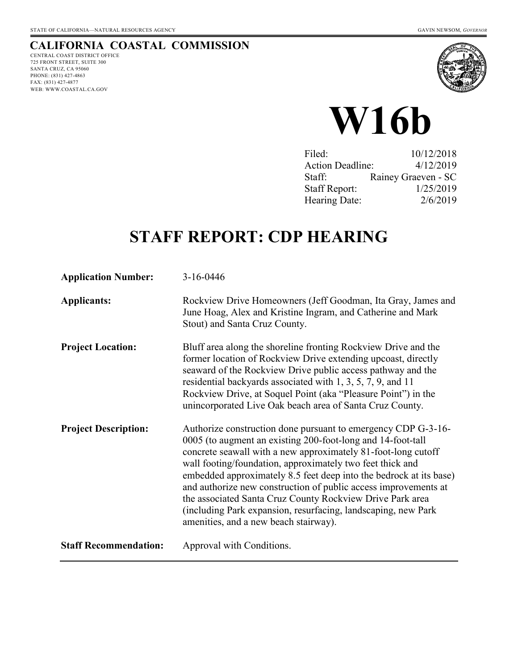# **CALIFORNIA COASTAL COMMISSION**

CENTRAL COAST DISTRICT OFFICE 725 FRONT STREET, SUITE 300 SANTA CRUZ, CA 95060 PHONE: (831) 427-4863 FAX: (831) 427-4877 WEB: WWW.COASTAL.CA.GOV





| 10/12/2018                           |
|--------------------------------------|
| 4/12/2019<br><b>Action Deadline:</b> |
| Rainey Graeven - SC                  |
| 1/25/2019                            |
| 2/6/2019                             |
|                                      |

# **STAFF REPORT: CDP HEARING**

| <b>Application Number:</b>   | 3-16-0446                                                                                                                                                                                                                                                                                                                                                                                                                                                                                                                                                                  |
|------------------------------|----------------------------------------------------------------------------------------------------------------------------------------------------------------------------------------------------------------------------------------------------------------------------------------------------------------------------------------------------------------------------------------------------------------------------------------------------------------------------------------------------------------------------------------------------------------------------|
| <b>Applicants:</b>           | Rockview Drive Homeowners (Jeff Goodman, Ita Gray, James and<br>June Hoag, Alex and Kristine Ingram, and Catherine and Mark<br>Stout) and Santa Cruz County.                                                                                                                                                                                                                                                                                                                                                                                                               |
| <b>Project Location:</b>     | Bluff area along the shoreline fronting Rockview Drive and the<br>former location of Rockview Drive extending upcoast, directly<br>seaward of the Rockview Drive public access pathway and the<br>residential backyards associated with 1, 3, 5, 7, 9, and 11<br>Rockview Drive, at Soquel Point (aka "Pleasure Point") in the<br>unincorporated Live Oak beach area of Santa Cruz County.                                                                                                                                                                                 |
| <b>Project Description:</b>  | Authorize construction done pursuant to emergency CDP G-3-16-<br>0005 (to augment an existing 200-foot-long and 14-foot-tall<br>concrete seawall with a new approximately 81-foot-long cutoff<br>wall footing/foundation, approximately two feet thick and<br>embedded approximately 8.5 feet deep into the bedrock at its base)<br>and authorize new construction of public access improvements at<br>the associated Santa Cruz County Rockview Drive Park area<br>(including Park expansion, resurfacing, landscaping, new Park<br>amenities, and a new beach stairway). |
| <b>Staff Recommendation:</b> | Approval with Conditions.                                                                                                                                                                                                                                                                                                                                                                                                                                                                                                                                                  |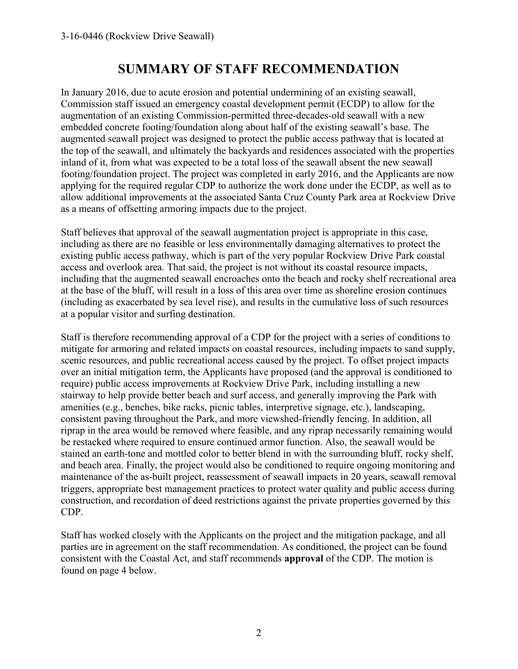# **SUMMARY OF STAFF RECOMMENDATION**

In January 2016, due to acute erosion and potential undermining of an existing seawall, Commission staff issued an emergency coastal development permit (ECDP) to allow for the augmentation of an existing Commission-permitted three-decades-old seawall with a new embedded concrete footing/foundation along about half of the existing seawall's base. The augmented seawall project was designed to protect the public access pathway that is located at the top of the seawall, and ultimately the backyards and residences associated with the properties inland of it, from what was expected to be a total loss of the seawall absent the new seawall footing/foundation project. The project was completed in early 2016, and the Applicants are now applying for the required regular CDP to authorize the work done under the ECDP, as well as to allow additional improvements at the associated Santa Cruz County Park area at Rockview Drive as a means of offsetting armoring impacts due to the project.

Staff believes that approval of the seawall augmentation project is appropriate in this case, including as there are no feasible or less environmentally damaging alternatives to protect the existing public access pathway, which is part of the very popular Rockview Drive Park coastal access and overlook area. That said, the project is not without its coastal resource impacts, including that the augmented seawall encroaches onto the beach and rocky shelf recreational area at the base of the bluff, will result in a loss of this area over time as shoreline erosion continues (including as exacerbated by sea level rise), and results in the cumulative loss of such resources at a popular visitor and surfing destination.

Staff is therefore recommending approval of a CDP for the project with a series of conditions to mitigate for armoring and related impacts on coastal resources, including impacts to sand supply, scenic resources, and public recreational access caused by the project. To offset project impacts over an initial mitigation term, the Applicants have proposed (and the approval is conditioned to require) public access improvements at Rockview Drive Park, including installing a new stairway to help provide better beach and surf access, and generally improving the Park with amenities (e.g., benches, bike racks, picnic tables, interpretive signage, etc.), landscaping, consistent paving throughout the Park, and more viewshed-friendly fencing. In addition, all riprap in the area would be removed where feasible, and any riprap necessarily remaining would be restacked where required to ensure continued armor function. Also, the seawall would be stained an earth-tone and mottled color to better blend in with the surrounding bluff, rocky shelf, and beach area. Finally, the project would also be conditioned to require ongoing monitoring and maintenance of the as-built project, reassessment of seawall impacts in 20 years, seawall removal triggers, appropriate best management practices to protect water quality and public access during construction, and recordation of deed restrictions against the private properties governed by this CDP.

Staff has worked closely with the Applicants on the project and the mitigation package, and all parties are in agreement on the staff recommendation. As conditioned, the project can be found consistent with the Coastal Act, and staff recommends **approval** of the CDP. The motion is found on page 4 below.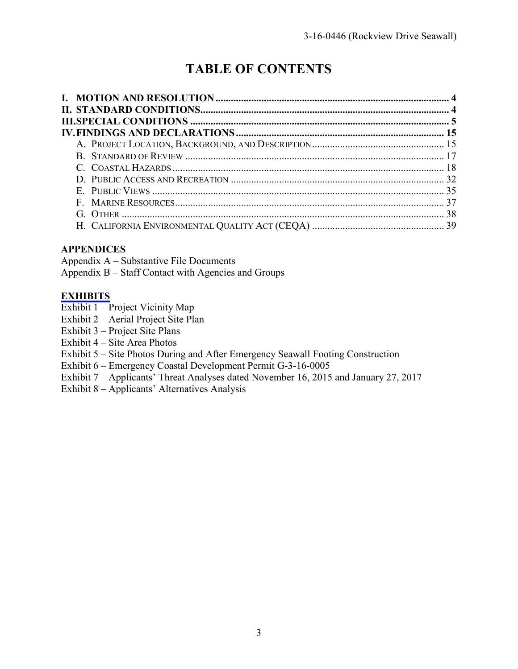# **TABLE OF CONTENTS**

# **APPENDICES**

Appendix A – Substantive File Documents Appendix B – Staff Contact with Agencies and Groups

## **[EXHIBITS](https://documents.coastal.ca.gov/reports/2019/2/W16b/W16b-2-2019-exhibits.pdf)**

- Exhibit 1 Project Vicinity Map
- Exhibit 2 Aerial Project Site Plan
- Exhibit 3 Project Site Plans
- Exhibit 4 Site Area Photos
- Exhibit 5 Site Photos During and After Emergency Seawall Footing Construction
- Exhibit 6 Emergency Coastal Development Permit G-3-16-0005
- Exhibit 7 Applicants' Threat Analyses dated November 16, 2015 and January 27, 2017
- Exhibit 8 Applicants' Alternatives Analysis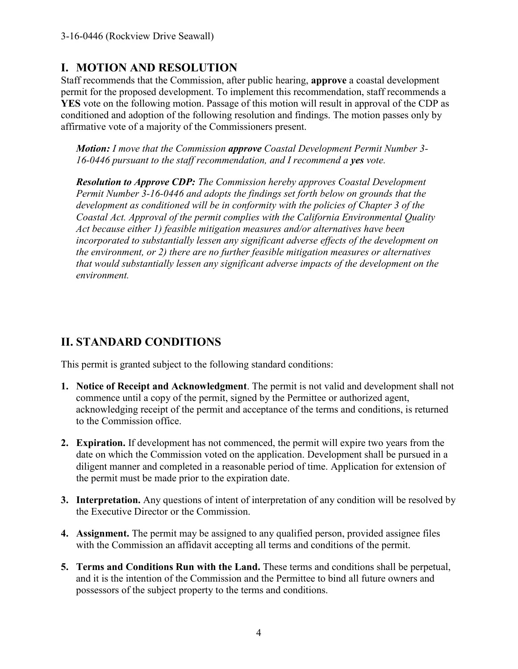# **I. MOTION AND RESOLUTION**

Staff recommends that the Commission, after public hearing, **approve** a coastal development permit for the proposed development. To implement this recommendation, staff recommends a **YES** vote on the following motion. Passage of this motion will result in approval of the CDP as conditioned and adoption of the following resolution and findings. The motion passes only by affirmative vote of a majority of the Commissioners present.

*Motion: I move that the Commission approve Coastal Development Permit Number 3- 16-0446 pursuant to the staff recommendation, and I recommend a yes vote.* 

*Resolution to Approve CDP: The Commission hereby approves Coastal Development Permit Number 3-16-0446 and adopts the findings set forth below on grounds that the development as conditioned will be in conformity with the policies of Chapter 3 of the Coastal Act. Approval of the permit complies with the California Environmental Quality Act because either 1) feasible mitigation measures and/or alternatives have been incorporated to substantially lessen any significant adverse effects of the development on the environment, or 2) there are no further feasible mitigation measures or alternatives that would substantially lessen any significant adverse impacts of the development on the environment.* 

# **II. STANDARD CONDITIONS**

This permit is granted subject to the following standard conditions:

- **1. Notice of Receipt and Acknowledgment**. The permit is not valid and development shall not commence until a copy of the permit, signed by the Permittee or authorized agent, acknowledging receipt of the permit and acceptance of the terms and conditions, is returned to the Commission office.
- **2. Expiration.** If development has not commenced, the permit will expire two years from the date on which the Commission voted on the application. Development shall be pursued in a diligent manner and completed in a reasonable period of time. Application for extension of the permit must be made prior to the expiration date.
- **3. Interpretation.** Any questions of intent of interpretation of any condition will be resolved by the Executive Director or the Commission.
- **4. Assignment.** The permit may be assigned to any qualified person, provided assignee files with the Commission an affidavit accepting all terms and conditions of the permit.
- **5. Terms and Conditions Run with the Land.** These terms and conditions shall be perpetual, and it is the intention of the Commission and the Permittee to bind all future owners and possessors of the subject property to the terms and conditions.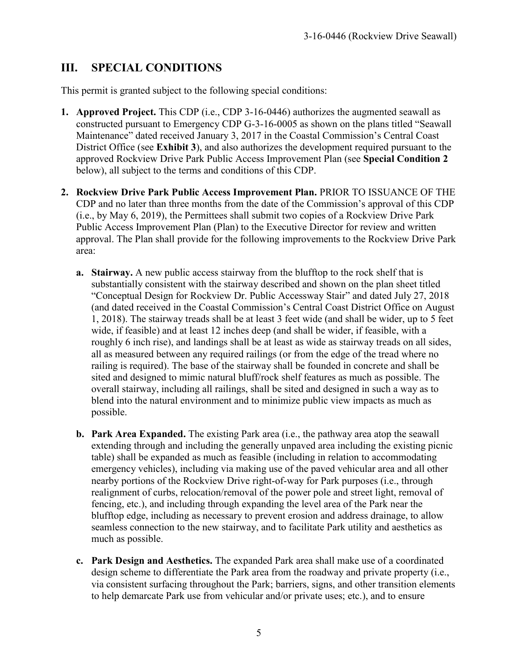# **III. SPECIAL CONDITIONS**

This permit is granted subject to the following special conditions:

- **1. Approved Project.** This CDP (i.e., CDP 3-16-0446) authorizes the augmented seawall as constructed pursuant to Emergency CDP G-3-16-0005 as shown on the plans titled "Seawall Maintenance" dated received January 3, 2017 in the Coastal Commission's Central Coast District Office (see **Exhibit 3**), and also authorizes the development required pursuant to the approved Rockview Drive Park Public Access Improvement Plan (see **Special Condition 2**  below), all subject to the terms and conditions of this CDP.
- **2. Rockview Drive Park Public Access Improvement Plan.** PRIOR TO ISSUANCE OF THE CDP and no later than three months from the date of the Commission's approval of this CDP (i.e., by May 6, 2019), the Permittees shall submit two copies of a Rockview Drive Park Public Access Improvement Plan (Plan) to the Executive Director for review and written approval. The Plan shall provide for the following improvements to the Rockview Drive Park area:
	- **a. Stairway.** A new public access stairway from the blufftop to the rock shelf that is substantially consistent with the stairway described and shown on the plan sheet titled "Conceptual Design for Rockview Dr. Public Accessway Stair" and dated July 27, 2018 (and dated received in the Coastal Commission's Central Coast District Office on August 1, 2018). The stairway treads shall be at least 3 feet wide (and shall be wider, up to 5 feet wide, if feasible) and at least 12 inches deep (and shall be wider, if feasible, with a roughly 6 inch rise), and landings shall be at least as wide as stairway treads on all sides, all as measured between any required railings (or from the edge of the tread where no railing is required). The base of the stairway shall be founded in concrete and shall be sited and designed to mimic natural bluff/rock shelf features as much as possible. The overall stairway, including all railings, shall be sited and designed in such a way as to blend into the natural environment and to minimize public view impacts as much as possible.
	- **b. Park Area Expanded.** The existing Park area (i.e., the pathway area atop the seawall extending through and including the generally unpaved area including the existing picnic table) shall be expanded as much as feasible (including in relation to accommodating emergency vehicles), including via making use of the paved vehicular area and all other nearby portions of the Rockview Drive right-of-way for Park purposes (i.e., through realignment of curbs, relocation/removal of the power pole and street light, removal of fencing, etc.), and including through expanding the level area of the Park near the blufftop edge, including as necessary to prevent erosion and address drainage, to allow seamless connection to the new stairway, and to facilitate Park utility and aesthetics as much as possible.
	- **c. Park Design and Aesthetics.** The expanded Park area shall make use of a coordinated design scheme to differentiate the Park area from the roadway and private property (i.e., via consistent surfacing throughout the Park; barriers, signs, and other transition elements to help demarcate Park use from vehicular and/or private uses; etc.), and to ensure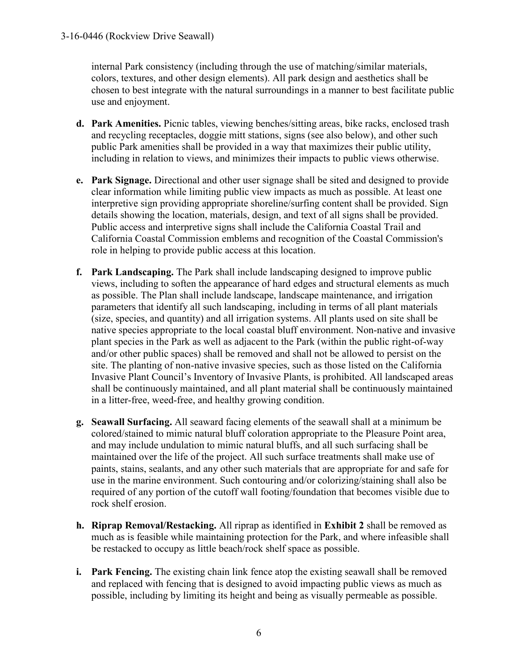internal Park consistency (including through the use of matching/similar materials, colors, textures, and other design elements). All park design and aesthetics shall be chosen to best integrate with the natural surroundings in a manner to best facilitate public use and enjoyment.

- **d. Park Amenities.** Picnic tables, viewing benches/sitting areas, bike racks, enclosed trash and recycling receptacles, doggie mitt stations, signs (see also below), and other such public Park amenities shall be provided in a way that maximizes their public utility, including in relation to views, and minimizes their impacts to public views otherwise.
- **e. Park Signage.** Directional and other user signage shall be sited and designed to provide clear information while limiting public view impacts as much as possible. At least one interpretive sign providing appropriate shoreline/surfing content shall be provided. Sign details showing the location, materials, design, and text of all signs shall be provided. Public access and interpretive signs shall include the California Coastal Trail and California Coastal Commission emblems and recognition of the Coastal Commission's role in helping to provide public access at this location.
- **f. Park Landscaping.** The Park shall include landscaping designed to improve public views, including to soften the appearance of hard edges and structural elements as much as possible. The Plan shall include landscape, landscape maintenance, and irrigation parameters that identify all such landscaping, including in terms of all plant materials (size, species, and quantity) and all irrigation systems. All plants used on site shall be native species appropriate to the local coastal bluff environment. Non-native and invasive plant species in the Park as well as adjacent to the Park (within the public right-of-way and/or other public spaces) shall be removed and shall not be allowed to persist on the site. The planting of non-native invasive species, such as those listed on the California Invasive Plant Council's Inventory of Invasive Plants, is prohibited. All landscaped areas shall be continuously maintained, and all plant material shall be continuously maintained in a litter-free, weed-free, and healthy growing condition.
- **g. Seawall Surfacing.** All seaward facing elements of the seawall shall at a minimum be colored/stained to mimic natural bluff coloration appropriate to the Pleasure Point area, and may include undulation to mimic natural bluffs, and all such surfacing shall be maintained over the life of the project. All such surface treatments shall make use of paints, stains, sealants, and any other such materials that are appropriate for and safe for use in the marine environment. Such contouring and/or colorizing/staining shall also be required of any portion of the cutoff wall footing/foundation that becomes visible due to rock shelf erosion.
- **h. Riprap Removal/Restacking.** All riprap as identified in **Exhibit 2** shall be removed as much as is feasible while maintaining protection for the Park, and where infeasible shall be restacked to occupy as little beach/rock shelf space as possible.
- **i. Park Fencing.** The existing chain link fence atop the existing seawall shall be removed and replaced with fencing that is designed to avoid impacting public views as much as possible, including by limiting its height and being as visually permeable as possible.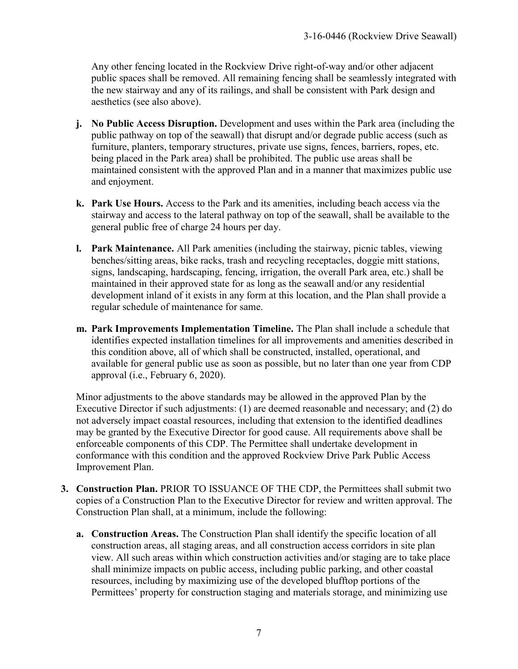Any other fencing located in the Rockview Drive right-of-way and/or other adjacent public spaces shall be removed. All remaining fencing shall be seamlessly integrated with the new stairway and any of its railings, and shall be consistent with Park design and aesthetics (see also above).

- **j. No Public Access Disruption.** Development and uses within the Park area (including the public pathway on top of the seawall) that disrupt and/or degrade public access (such as furniture, planters, temporary structures, private use signs, fences, barriers, ropes, etc. being placed in the Park area) shall be prohibited. The public use areas shall be maintained consistent with the approved Plan and in a manner that maximizes public use and enjoyment.
- **k. Park Use Hours.** Access to the Park and its amenities, including beach access via the stairway and access to the lateral pathway on top of the seawall, shall be available to the general public free of charge 24 hours per day.
- **l. Park Maintenance.** All Park amenities (including the stairway, picnic tables, viewing benches/sitting areas, bike racks, trash and recycling receptacles, doggie mitt stations, signs, landscaping, hardscaping, fencing, irrigation, the overall Park area, etc.) shall be maintained in their approved state for as long as the seawall and/or any residential development inland of it exists in any form at this location, and the Plan shall provide a regular schedule of maintenance for same.
- **m. Park Improvements Implementation Timeline.** The Plan shall include a schedule that identifies expected installation timelines for all improvements and amenities described in this condition above, all of which shall be constructed, installed, operational, and available for general public use as soon as possible, but no later than one year from CDP approval (i.e., February 6, 2020).

Minor adjustments to the above standards may be allowed in the approved Plan by the Executive Director if such adjustments: (1) are deemed reasonable and necessary; and (2) do not adversely impact coastal resources, including that extension to the identified deadlines may be granted by the Executive Director for good cause. All requirements above shall be enforceable components of this CDP. The Permittee shall undertake development in conformance with this condition and the approved Rockview Drive Park Public Access Improvement Plan.

- **3. Construction Plan.** PRIOR TO ISSUANCE OF THE CDP, the Permittees shall submit two copies of a Construction Plan to the Executive Director for review and written approval. The Construction Plan shall, at a minimum, include the following:
	- **a. Construction Areas.** The Construction Plan shall identify the specific location of all construction areas, all staging areas, and all construction access corridors in site plan view. All such areas within which construction activities and/or staging are to take place shall minimize impacts on public access, including public parking, and other coastal resources, including by maximizing use of the developed blufftop portions of the Permittees' property for construction staging and materials storage, and minimizing use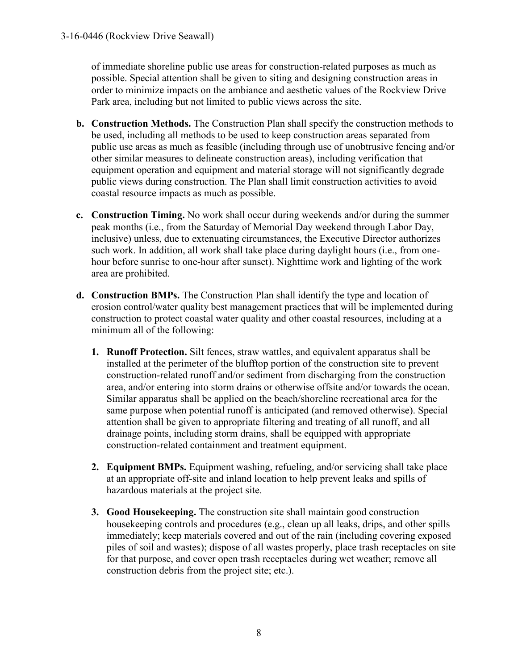of immediate shoreline public use areas for construction-related purposes as much as possible. Special attention shall be given to siting and designing construction areas in order to minimize impacts on the ambiance and aesthetic values of the Rockview Drive Park area, including but not limited to public views across the site.

- **b. Construction Methods.** The Construction Plan shall specify the construction methods to be used, including all methods to be used to keep construction areas separated from public use areas as much as feasible (including through use of unobtrusive fencing and/or other similar measures to delineate construction areas), including verification that equipment operation and equipment and material storage will not significantly degrade public views during construction. The Plan shall limit construction activities to avoid coastal resource impacts as much as possible.
- **c. Construction Timing.** No work shall occur during weekends and/or during the summer peak months (i.e., from the Saturday of Memorial Day weekend through Labor Day, inclusive) unless, due to extenuating circumstances, the Executive Director authorizes such work. In addition, all work shall take place during daylight hours (i.e., from onehour before sunrise to one-hour after sunset). Nighttime work and lighting of the work area are prohibited.
- **d. Construction BMPs.** The Construction Plan shall identify the type and location of erosion control/water quality best management practices that will be implemented during construction to protect coastal water quality and other coastal resources, including at a minimum all of the following:
	- **1. Runoff Protection.** Silt fences, straw wattles, and equivalent apparatus shall be installed at the perimeter of the blufftop portion of the construction site to prevent construction-related runoff and/or sediment from discharging from the construction area, and/or entering into storm drains or otherwise offsite and/or towards the ocean. Similar apparatus shall be applied on the beach/shoreline recreational area for the same purpose when potential runoff is anticipated (and removed otherwise). Special attention shall be given to appropriate filtering and treating of all runoff, and all drainage points, including storm drains, shall be equipped with appropriate construction-related containment and treatment equipment.
	- **2. Equipment BMPs.** Equipment washing, refueling, and/or servicing shall take place at an appropriate off-site and inland location to help prevent leaks and spills of hazardous materials at the project site.
	- **3. Good Housekeeping.** The construction site shall maintain good construction housekeeping controls and procedures (e.g., clean up all leaks, drips, and other spills immediately; keep materials covered and out of the rain (including covering exposed piles of soil and wastes); dispose of all wastes properly, place trash receptacles on site for that purpose, and cover open trash receptacles during wet weather; remove all construction debris from the project site; etc.).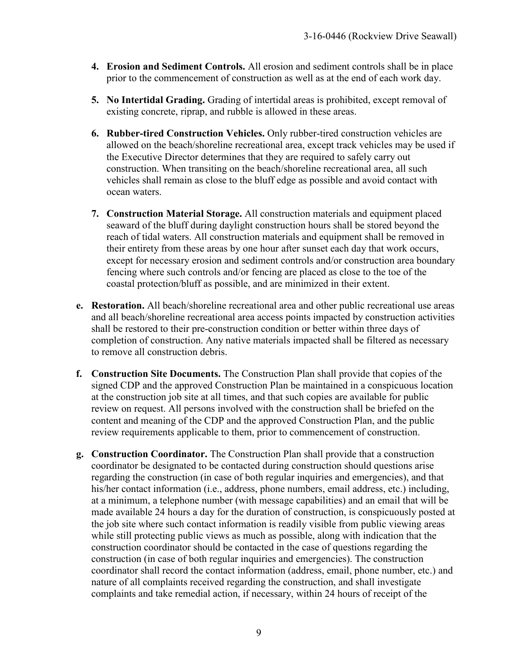- **4. Erosion and Sediment Controls.** All erosion and sediment controls shall be in place prior to the commencement of construction as well as at the end of each work day.
- **5. No Intertidal Grading.** Grading of intertidal areas is prohibited, except removal of existing concrete, riprap, and rubble is allowed in these areas.
- **6. Rubber-tired Construction Vehicles.** Only rubber-tired construction vehicles are allowed on the beach/shoreline recreational area, except track vehicles may be used if the Executive Director determines that they are required to safely carry out construction. When transiting on the beach/shoreline recreational area, all such vehicles shall remain as close to the bluff edge as possible and avoid contact with ocean waters.
- **7. Construction Material Storage.** All construction materials and equipment placed seaward of the bluff during daylight construction hours shall be stored beyond the reach of tidal waters. All construction materials and equipment shall be removed in their entirety from these areas by one hour after sunset each day that work occurs, except for necessary erosion and sediment controls and/or construction area boundary fencing where such controls and/or fencing are placed as close to the toe of the coastal protection/bluff as possible, and are minimized in their extent.
- **e. Restoration.** All beach/shoreline recreational area and other public recreational use areas and all beach/shoreline recreational area access points impacted by construction activities shall be restored to their pre-construction condition or better within three days of completion of construction. Any native materials impacted shall be filtered as necessary to remove all construction debris.
- **f. Construction Site Documents.** The Construction Plan shall provide that copies of the signed CDP and the approved Construction Plan be maintained in a conspicuous location at the construction job site at all times, and that such copies are available for public review on request. All persons involved with the construction shall be briefed on the content and meaning of the CDP and the approved Construction Plan, and the public review requirements applicable to them, prior to commencement of construction.
- **g. Construction Coordinator.** The Construction Plan shall provide that a construction coordinator be designated to be contacted during construction should questions arise regarding the construction (in case of both regular inquiries and emergencies), and that his/her contact information (i.e., address, phone numbers, email address, etc.) including, at a minimum, a telephone number (with message capabilities) and an email that will be made available 24 hours a day for the duration of construction, is conspicuously posted at the job site where such contact information is readily visible from public viewing areas while still protecting public views as much as possible, along with indication that the construction coordinator should be contacted in the case of questions regarding the construction (in case of both regular inquiries and emergencies). The construction coordinator shall record the contact information (address, email, phone number, etc.) and nature of all complaints received regarding the construction, and shall investigate complaints and take remedial action, if necessary, within 24 hours of receipt of the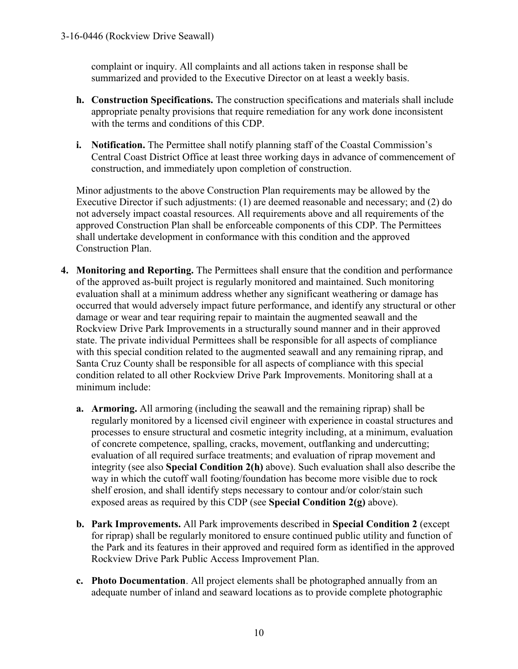complaint or inquiry. All complaints and all actions taken in response shall be summarized and provided to the Executive Director on at least a weekly basis.

- **h. Construction Specifications.** The construction specifications and materials shall include appropriate penalty provisions that require remediation for any work done inconsistent with the terms and conditions of this CDP.
- **i. Notification.** The Permittee shall notify planning staff of the Coastal Commission's Central Coast District Office at least three working days in advance of commencement of construction, and immediately upon completion of construction.

Minor adjustments to the above Construction Plan requirements may be allowed by the Executive Director if such adjustments: (1) are deemed reasonable and necessary; and (2) do not adversely impact coastal resources. All requirements above and all requirements of the approved Construction Plan shall be enforceable components of this CDP. The Permittees shall undertake development in conformance with this condition and the approved Construction Plan.

- **4. Monitoring and Reporting.** The Permittees shall ensure that the condition and performance of the approved as-built project is regularly monitored and maintained. Such monitoring evaluation shall at a minimum address whether any significant weathering or damage has occurred that would adversely impact future performance, and identify any structural or other damage or wear and tear requiring repair to maintain the augmented seawall and the Rockview Drive Park Improvements in a structurally sound manner and in their approved state. The private individual Permittees shall be responsible for all aspects of compliance with this special condition related to the augmented seawall and any remaining riprap, and Santa Cruz County shall be responsible for all aspects of compliance with this special condition related to all other Rockview Drive Park Improvements. Monitoring shall at a minimum include:
	- **a. Armoring.** All armoring (including the seawall and the remaining riprap) shall be regularly monitored by a licensed civil engineer with experience in coastal structures and processes to ensure structural and cosmetic integrity including, at a minimum, evaluation of concrete competence, spalling, cracks, movement, outflanking and undercutting; evaluation of all required surface treatments; and evaluation of riprap movement and integrity (see also **Special Condition 2(h)** above). Such evaluation shall also describe the way in which the cutoff wall footing/foundation has become more visible due to rock shelf erosion, and shall identify steps necessary to contour and/or color/stain such exposed areas as required by this CDP (see **Special Condition 2(g)** above).
	- **b. Park Improvements.** All Park improvements described in **Special Condition 2** (except for riprap) shall be regularly monitored to ensure continued public utility and function of the Park and its features in their approved and required form as identified in the approved Rockview Drive Park Public Access Improvement Plan.
	- **c. Photo Documentation**. All project elements shall be photographed annually from an adequate number of inland and seaward locations as to provide complete photographic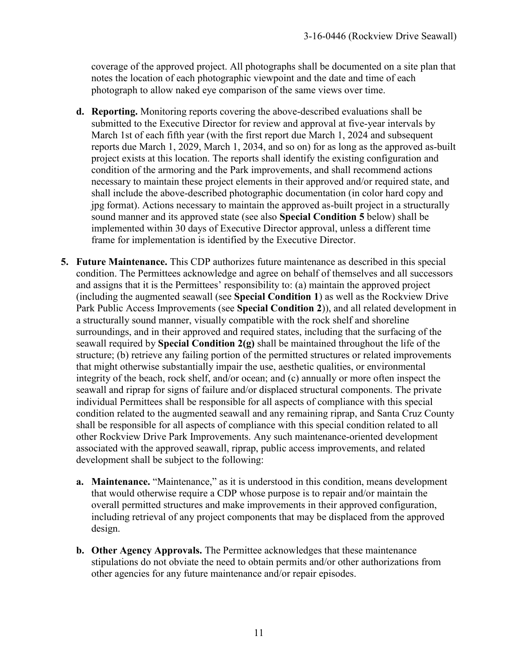coverage of the approved project. All photographs shall be documented on a site plan that notes the location of each photographic viewpoint and the date and time of each photograph to allow naked eye comparison of the same views over time.

- **d. Reporting.** Monitoring reports covering the above-described evaluations shall be submitted to the Executive Director for review and approval at five-year intervals by March 1st of each fifth year (with the first report due March 1, 2024 and subsequent reports due March 1, 2029, March 1, 2034, and so on) for as long as the approved as-built project exists at this location. The reports shall identify the existing configuration and condition of the armoring and the Park improvements, and shall recommend actions necessary to maintain these project elements in their approved and/or required state, and shall include the above-described photographic documentation (in color hard copy and jpg format). Actions necessary to maintain the approved as-built project in a structurally sound manner and its approved state (see also **Special Condition 5** below) shall be implemented within 30 days of Executive Director approval, unless a different time frame for implementation is identified by the Executive Director.
- **5. Future Maintenance.** This CDP authorizes future maintenance as described in this special condition. The Permittees acknowledge and agree on behalf of themselves and all successors and assigns that it is the Permittees' responsibility to: (a) maintain the approved project (including the augmented seawall (see **Special Condition 1**) as well as the Rockview Drive Park Public Access Improvements (see **Special Condition 2**)), and all related development in a structurally sound manner, visually compatible with the rock shelf and shoreline surroundings, and in their approved and required states, including that the surfacing of the seawall required by **Special Condition 2(g)** shall be maintained throughout the life of the structure; (b) retrieve any failing portion of the permitted structures or related improvements that might otherwise substantially impair the use, aesthetic qualities, or environmental integrity of the beach, rock shelf, and/or ocean; and (c) annually or more often inspect the seawall and riprap for signs of failure and/or displaced structural components. The private individual Permittees shall be responsible for all aspects of compliance with this special condition related to the augmented seawall and any remaining riprap, and Santa Cruz County shall be responsible for all aspects of compliance with this special condition related to all other Rockview Drive Park Improvements. Any such maintenance-oriented development associated with the approved seawall, riprap, public access improvements, and related development shall be subject to the following:
	- **a. Maintenance.** "Maintenance," as it is understood in this condition, means development that would otherwise require a CDP whose purpose is to repair and/or maintain the overall permitted structures and make improvements in their approved configuration, including retrieval of any project components that may be displaced from the approved design.
	- **b. Other Agency Approvals.** The Permittee acknowledges that these maintenance stipulations do not obviate the need to obtain permits and/or other authorizations from other agencies for any future maintenance and/or repair episodes.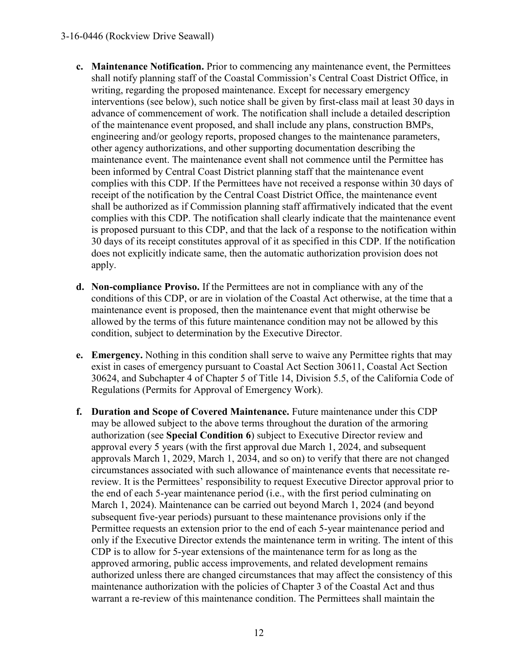- **c. Maintenance Notification.** Prior to commencing any maintenance event, the Permittees shall notify planning staff of the Coastal Commission's Central Coast District Office, in writing, regarding the proposed maintenance. Except for necessary emergency interventions (see below), such notice shall be given by first-class mail at least 30 days in advance of commencement of work. The notification shall include a detailed description of the maintenance event proposed, and shall include any plans, construction BMPs, engineering and/or geology reports, proposed changes to the maintenance parameters, other agency authorizations, and other supporting documentation describing the maintenance event. The maintenance event shall not commence until the Permittee has been informed by Central Coast District planning staff that the maintenance event complies with this CDP. If the Permittees have not received a response within 30 days of receipt of the notification by the Central Coast District Office, the maintenance event shall be authorized as if Commission planning staff affirmatively indicated that the event complies with this CDP. The notification shall clearly indicate that the maintenance event is proposed pursuant to this CDP, and that the lack of a response to the notification within 30 days of its receipt constitutes approval of it as specified in this CDP. If the notification does not explicitly indicate same, then the automatic authorization provision does not apply.
- **d. Non-compliance Proviso.** If the Permittees are not in compliance with any of the conditions of this CDP, or are in violation of the Coastal Act otherwise, at the time that a maintenance event is proposed, then the maintenance event that might otherwise be allowed by the terms of this future maintenance condition may not be allowed by this condition, subject to determination by the Executive Director.
- **e. Emergency.** Nothing in this condition shall serve to waive any Permittee rights that may exist in cases of emergency pursuant to Coastal Act Section 30611, Coastal Act Section 30624, and Subchapter 4 of Chapter 5 of Title 14, Division 5.5, of the California Code of Regulations (Permits for Approval of Emergency Work).
- **f. Duration and Scope of Covered Maintenance.** Future maintenance under this CDP may be allowed subject to the above terms throughout the duration of the armoring authorization (see **Special Condition 6**) subject to Executive Director review and approval every 5 years (with the first approval due March 1, 2024, and subsequent approvals March 1, 2029, March 1, 2034, and so on) to verify that there are not changed circumstances associated with such allowance of maintenance events that necessitate rereview. It is the Permittees' responsibility to request Executive Director approval prior to the end of each 5-year maintenance period (i.e., with the first period culminating on March 1, 2024). Maintenance can be carried out beyond March 1, 2024 (and beyond subsequent five-year periods) pursuant to these maintenance provisions only if the Permittee requests an extension prior to the end of each 5-year maintenance period and only if the Executive Director extends the maintenance term in writing. The intent of this CDP is to allow for 5-year extensions of the maintenance term for as long as the approved armoring, public access improvements, and related development remains authorized unless there are changed circumstances that may affect the consistency of this maintenance authorization with the policies of Chapter 3 of the Coastal Act and thus warrant a re-review of this maintenance condition. The Permittees shall maintain the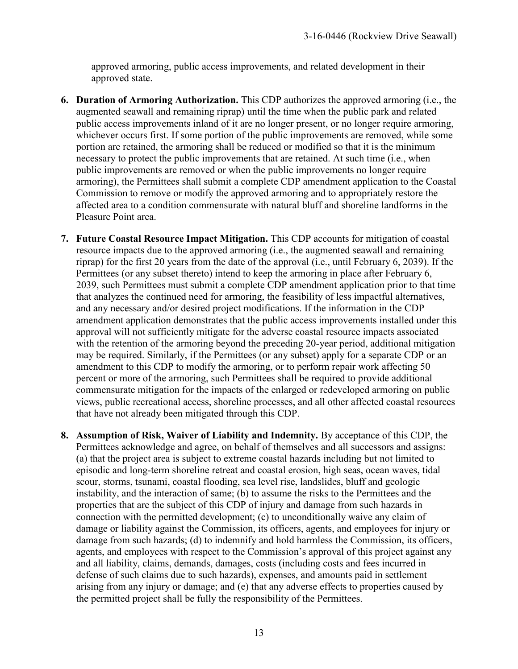approved armoring, public access improvements, and related development in their approved state.

- **6. Duration of Armoring Authorization.** This CDP authorizes the approved armoring (i.e., the augmented seawall and remaining riprap) until the time when the public park and related public access improvements inland of it are no longer present, or no longer require armoring, whichever occurs first. If some portion of the public improvements are removed, while some portion are retained, the armoring shall be reduced or modified so that it is the minimum necessary to protect the public improvements that are retained. At such time (i.e., when public improvements are removed or when the public improvements no longer require armoring), the Permittees shall submit a complete CDP amendment application to the Coastal Commission to remove or modify the approved armoring and to appropriately restore the affected area to a condition commensurate with natural bluff and shoreline landforms in the Pleasure Point area.
- **7. Future Coastal Resource Impact Mitigation.** This CDP accounts for mitigation of coastal resource impacts due to the approved armoring (i.e., the augmented seawall and remaining riprap) for the first 20 years from the date of the approval (i.e., until February 6, 2039). If the Permittees (or any subset thereto) intend to keep the armoring in place after February 6, 2039, such Permittees must submit a complete CDP amendment application prior to that time that analyzes the continued need for armoring, the feasibility of less impactful alternatives, and any necessary and/or desired project modifications. If the information in the CDP amendment application demonstrates that the public access improvements installed under this approval will not sufficiently mitigate for the adverse coastal resource impacts associated with the retention of the armoring beyond the preceding 20-year period, additional mitigation may be required. Similarly, if the Permittees (or any subset) apply for a separate CDP or an amendment to this CDP to modify the armoring, or to perform repair work affecting 50 percent or more of the armoring, such Permittees shall be required to provide additional commensurate mitigation for the impacts of the enlarged or redeveloped armoring on public views, public recreational access, shoreline processes, and all other affected coastal resources that have not already been mitigated through this CDP.
- **8. Assumption of Risk, Waiver of Liability and Indemnity.** By acceptance of this CDP, the Permittees acknowledge and agree, on behalf of themselves and all successors and assigns: (a) that the project area is subject to extreme coastal hazards including but not limited to episodic and long-term shoreline retreat and coastal erosion, high seas, ocean waves, tidal scour, storms, tsunami, coastal flooding, sea level rise, landslides, bluff and geologic instability, and the interaction of same; (b) to assume the risks to the Permittees and the properties that are the subject of this CDP of injury and damage from such hazards in connection with the permitted development; (c) to unconditionally waive any claim of damage or liability against the Commission, its officers, agents, and employees for injury or damage from such hazards; (d) to indemnify and hold harmless the Commission, its officers, agents, and employees with respect to the Commission's approval of this project against any and all liability, claims, demands, damages, costs (including costs and fees incurred in defense of such claims due to such hazards), expenses, and amounts paid in settlement arising from any injury or damage; and (e) that any adverse effects to properties caused by the permitted project shall be fully the responsibility of the Permittees.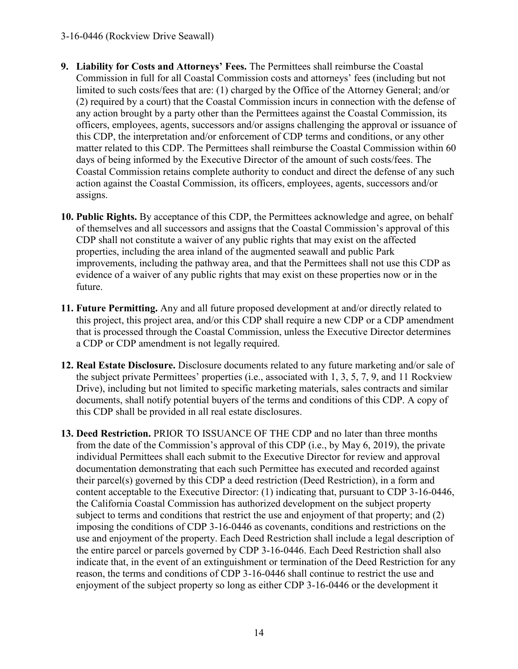- **9. Liability for Costs and Attorneys' Fees.** The Permittees shall reimburse the Coastal Commission in full for all Coastal Commission costs and attorneys' fees (including but not limited to such costs/fees that are: (1) charged by the Office of the Attorney General; and/or (2) required by a court) that the Coastal Commission incurs in connection with the defense of any action brought by a party other than the Permittees against the Coastal Commission, its officers, employees, agents, successors and/or assigns challenging the approval or issuance of this CDP, the interpretation and/or enforcement of CDP terms and conditions, or any other matter related to this CDP. The Permittees shall reimburse the Coastal Commission within 60 days of being informed by the Executive Director of the amount of such costs/fees. The Coastal Commission retains complete authority to conduct and direct the defense of any such action against the Coastal Commission, its officers, employees, agents, successors and/or assigns.
- **10. Public Rights.** By acceptance of this CDP, the Permittees acknowledge and agree, on behalf of themselves and all successors and assigns that the Coastal Commission's approval of this CDP shall not constitute a waiver of any public rights that may exist on the affected properties, including the area inland of the augmented seawall and public Park improvements, including the pathway area, and that the Permittees shall not use this CDP as evidence of a waiver of any public rights that may exist on these properties now or in the future.
- **11. Future Permitting.** Any and all future proposed development at and/or directly related to this project, this project area, and/or this CDP shall require a new CDP or a CDP amendment that is processed through the Coastal Commission, unless the Executive Director determines a CDP or CDP amendment is not legally required.
- **12. Real Estate Disclosure.** Disclosure documents related to any future marketing and/or sale of the subject private Permittees' properties (i.e., associated with 1, 3, 5, 7, 9, and 11 Rockview Drive), including but not limited to specific marketing materials, sales contracts and similar documents, shall notify potential buyers of the terms and conditions of this CDP. A copy of this CDP shall be provided in all real estate disclosures.
- **13. Deed Restriction.** PRIOR TO ISSUANCE OF THE CDP and no later than three months from the date of the Commission's approval of this CDP (i.e., by May 6, 2019), the private individual Permittees shall each submit to the Executive Director for review and approval documentation demonstrating that each such Permittee has executed and recorded against their parcel(s) governed by this CDP a deed restriction (Deed Restriction), in a form and content acceptable to the Executive Director: (1) indicating that, pursuant to CDP 3-16-0446, the California Coastal Commission has authorized development on the subject property subject to terms and conditions that restrict the use and enjoyment of that property; and (2) imposing the conditions of CDP 3-16-0446 as covenants, conditions and restrictions on the use and enjoyment of the property. Each Deed Restriction shall include a legal description of the entire parcel or parcels governed by CDP 3-16-0446. Each Deed Restriction shall also indicate that, in the event of an extinguishment or termination of the Deed Restriction for any reason, the terms and conditions of CDP 3-16-0446 shall continue to restrict the use and enjoyment of the subject property so long as either CDP 3-16-0446 or the development it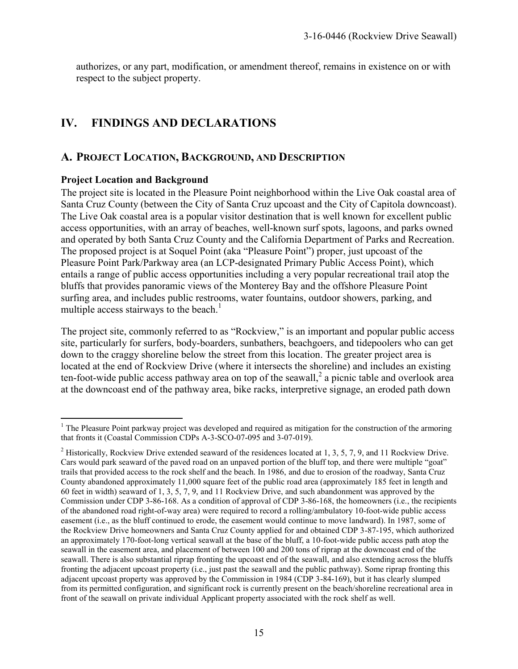authorizes, or any part, modification, or amendment thereof, remains in existence on or with respect to the subject property.

# **IV. FINDINGS AND DECLARATIONS**

# **A. PROJECT LOCATION, BACKGROUND, AND DESCRIPTION**

#### **Project Location and Background**

The project site is located in the Pleasure Point neighborhood within the Live Oak coastal area of Santa Cruz County (between the City of Santa Cruz upcoast and the City of Capitola downcoast). The Live Oak coastal area is a popular visitor destination that is well known for excellent public access opportunities, with an array of beaches, well-known surf spots, lagoons, and parks owned and operated by both Santa Cruz County and the California Department of Parks and Recreation. The proposed project is at Soquel Point (aka "Pleasure Point") proper, just upcoast of the Pleasure Point Park/Parkway area (an LCP-designated Primary Public Access Point), which entails a range of public access opportunities including a very popular recreational trail atop the bluffs that provides panoramic views of the Monterey Bay and the offshore Pleasure Point surfing area, and includes public restrooms, water fountains, outdoor showers, parking, and multiple access stairways to the beach.<sup>1</sup>

The project site, commonly referred to as "Rockview," is an important and popular public access site, particularly for surfers, body-boarders, sunbathers, beachgoers, and tidepoolers who can get down to the craggy shoreline below the street from this location. The greater project area is located at the end of Rockview Drive (where it intersects the shoreline) and includes an existing ten-foot-wide public access pathway area on top of the seawall, $^2$  a picnic table and overlook area at the downcoast end of the pathway area, bike racks, interpretive signage, an eroded path down

<sup>&</sup>lt;sup>1</sup> The Pleasure Point parkway project was developed and required as mitigation for the construction of the armoring that fronts it (Coastal Commission CDPs A-3-SCO-07-095 and 3-07-019).

<sup>&</sup>lt;sup>2</sup> Historically, Rockview Drive extended seaward of the residences located at 1, 3, 5, 7, 9, and 11 Rockview Drive. Cars would park seaward of the paved road on an unpaved portion of the bluff top, and there were multiple "goat" trails that provided access to the rock shelf and the beach. In 1986, and due to erosion of the roadway, Santa Cruz County abandoned approximately 11,000 square feet of the public road area (approximately 185 feet in length and 60 feet in width) seaward of 1, 3, 5, 7, 9, and 11 Rockview Drive, and such abandonment was approved by the Commission under CDP 3-86-168. As a condition of approval of CDP 3-86-168, the homeowners (i.e., the recipients of the abandoned road right-of-way area) were required to record a rolling/ambulatory 10-foot-wide public access easement (i.e., as the bluff continued to erode, the easement would continue to move landward). In 1987, some of the Rockview Drive homeowners and Santa Cruz County applied for and obtained CDP 3-87-195, which authorized an approximately 170-foot-long vertical seawall at the base of the bluff, a 10-foot-wide public access path atop the seawall in the easement area, and placement of between 100 and 200 tons of riprap at the downcoast end of the seawall. There is also substantial riprap fronting the upcoast end of the seawall, and also extending across the bluffs fronting the adjacent upcoast property (i.e., just past the seawall and the public pathway). Some riprap fronting this adjacent upcoast property was approved by the Commission in 1984 (CDP 3-84-169), but it has clearly slumped from its permitted configuration, and significant rock is currently present on the beach/shoreline recreational area in front of the seawall on private individual Applicant property associated with the rock shelf as well.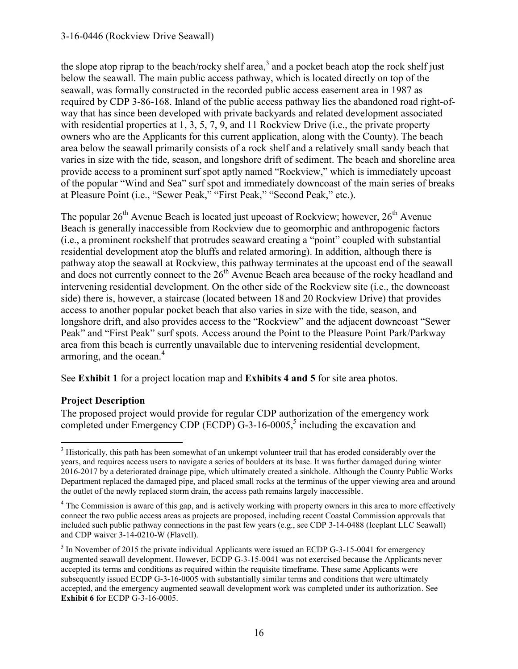the slope atop riprap to the beach/rocky shelf area,<sup>3</sup> and a pocket beach atop the rock shelf just below the seawall. The main public access pathway, which is located directly on top of the seawall, was formally constructed in the recorded public access easement area in 1987 as required by CDP 3-86-168. Inland of the public access pathway lies the abandoned road right-ofway that has since been developed with private backyards and related development associated with residential properties at 1, 3, 5, 7, 9, and 11 Rockview Drive (i.e., the private property owners who are the Applicants for this current application, along with the County). The beach area below the seawall primarily consists of a rock shelf and a relatively small sandy beach that varies in size with the tide, season, and longshore drift of sediment. The beach and shoreline area provide access to a prominent surf spot aptly named "Rockview," which is immediately upcoast of the popular "Wind and Sea" surf spot and immediately downcoast of the main series of breaks at Pleasure Point (i.e., "Sewer Peak," "First Peak," "Second Peak," etc.).

The popular  $26<sup>th</sup>$  Avenue Beach is located just upcoast of Rockview; however,  $26<sup>th</sup>$  Avenue Beach is generally inaccessible from Rockview due to geomorphic and anthropogenic factors (i.e., a prominent rockshelf that protrudes seaward creating a "point" coupled with substantial residential development atop the bluffs and related armoring). In addition, although there is pathway atop the seawall at Rockview, this pathway terminates at the upcoast end of the seawall and does not currently connect to the  $26<sup>th</sup>$  Avenue Beach area because of the rocky headland and intervening residential development. On the other side of the Rockview site (i.e., the downcoast side) there is, however, a staircase (located between 18 and 20 Rockview Drive) that provides access to another popular pocket beach that also varies in size with the tide, season, and longshore drift, and also provides access to the "Rockview" and the adjacent downcoast "Sewer Peak" and "First Peak" surf spots. Access around the Point to the Pleasure Point Park/Parkway area from this beach is currently unavailable due to intervening residential development, armoring, and the ocean.<sup>4</sup>

See **Exhibit 1** for a project location map and **Exhibits 4 and 5** for site area photos.

#### **Project Description**

The proposed project would provide for regular CDP authorization of the emergency work completed under Emergency CDP (ECDP)  $G-3-16-0005$ ,<sup>5</sup> including the excavation and

<sup>&</sup>lt;sup>3</sup> Historically, this path has been somewhat of an unkempt volunteer trail that has eroded considerably over the years, and requires access users to navigate a series of boulders at its base. It was further damaged during winter 2016-2017 by a deteriorated drainage pipe, which ultimately created a sinkhole. Although the County Public Works Department replaced the damaged pipe, and placed small rocks at the terminus of the upper viewing area and around the outlet of the newly replaced storm drain, the access path remains largely inaccessible.

<sup>&</sup>lt;sup>4</sup> The Commission is aware of this gap, and is actively working with property owners in this area to more effectively connect the two public access areas as projects are proposed, including recent Coastal Commission approvals that included such public pathway connections in the past few years (e.g., see CDP 3-14-0488 (Iceplant LLC Seawall) and CDP waiver 3-14-0210-W (Flavell).

<sup>&</sup>lt;sup>5</sup> In November of 2015 the private individual Applicants were issued an ECDP G-3-15-0041 for emergency augmented seawall development. However, ECDP G-3-15-0041 was not exercised because the Applicants never accepted its terms and conditions as required within the requisite timeframe. These same Applicants were subsequently issued ECDP G-3-16-0005 with substantially similar terms and conditions that were ultimately accepted, and the emergency augmented seawall development work was completed under its authorization. See **Exhibit 6** for ECDP G-3-16-0005.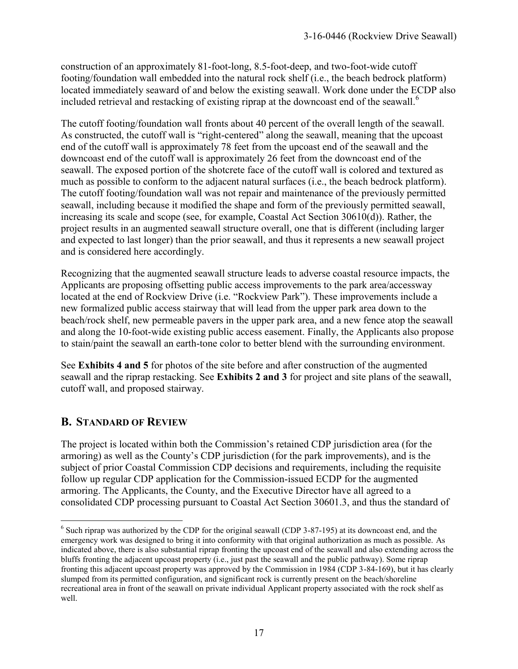construction of an approximately 81-foot-long, 8.5-foot-deep, and two-foot-wide cutoff footing/foundation wall embedded into the natural rock shelf (i.e., the beach bedrock platform) located immediately seaward of and below the existing seawall. Work done under the ECDP also included retrieval and restacking of existing riprap at the downcoast end of the seawall.<sup>6</sup>

The cutoff footing/foundation wall fronts about 40 percent of the overall length of the seawall. As constructed, the cutoff wall is "right-centered" along the seawall, meaning that the upcoast end of the cutoff wall is approximately 78 feet from the upcoast end of the seawall and the downcoast end of the cutoff wall is approximately 26 feet from the downcoast end of the seawall. The exposed portion of the shotcrete face of the cutoff wall is colored and textured as much as possible to conform to the adjacent natural surfaces (i.e., the beach bedrock platform). The cutoff footing/foundation wall was not repair and maintenance of the previously permitted seawall, including because it modified the shape and form of the previously permitted seawall, increasing its scale and scope (see, for example, Coastal Act Section 30610(d)). Rather, the project results in an augmented seawall structure overall, one that is different (including larger and expected to last longer) than the prior seawall, and thus it represents a new seawall project and is considered here accordingly.

Recognizing that the augmented seawall structure leads to adverse coastal resource impacts, the Applicants are proposing offsetting public access improvements to the park area/accessway located at the end of Rockview Drive (i.e. "Rockview Park"). These improvements include a new formalized public access stairway that will lead from the upper park area down to the beach/rock shelf, new permeable pavers in the upper park area, and a new fence atop the seawall and along the 10-foot-wide existing public access easement. Finally, the Applicants also propose to stain/paint the seawall an earth-tone color to better blend with the surrounding environment.

See **Exhibits 4 and 5** for photos of the site before and after construction of the augmented seawall and the riprap restacking. See **Exhibits 2 and 3** for project and site plans of the seawall, cutoff wall, and proposed stairway.

# **B. STANDARD OF REVIEW**

The project is located within both the Commission's retained CDP jurisdiction area (for the armoring) as well as the County's CDP jurisdiction (for the park improvements), and is the subject of prior Coastal Commission CDP decisions and requirements, including the requisite follow up regular CDP application for the Commission-issued ECDP for the augmented armoring. The Applicants, the County, and the Executive Director have all agreed to a consolidated CDP processing pursuant to Coastal Act Section 30601.3, and thus the standard of

<sup>&</sup>lt;sup>6</sup> Such riprap was authorized by the CDP for the original seawall (CDP 3-87-195) at its downcoast end, and the emergency work was designed to bring it into conformity with that original authorization as much as possible. As indicated above, there is also substantial riprap fronting the upcoast end of the seawall and also extending across the bluffs fronting the adjacent upcoast property (i.e., just past the seawall and the public pathway). Some riprap fronting this adjacent upcoast property was approved by the Commission in 1984 (CDP 3-84-169), but it has clearly slumped from its permitted configuration, and significant rock is currently present on the beach/shoreline recreational area in front of the seawall on private individual Applicant property associated with the rock shelf as well.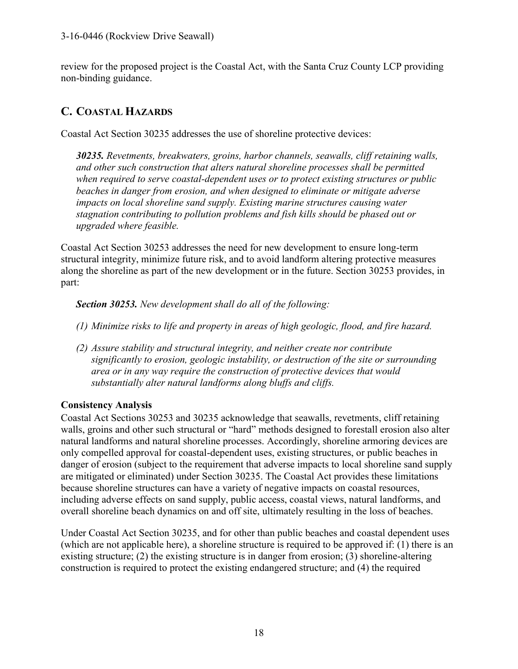review for the proposed project is the Coastal Act, with the Santa Cruz County LCP providing non-binding guidance.

# **C. COASTAL HAZARDS**

Coastal Act Section 30235 addresses the use of shoreline protective devices:

*30235. Revetments, breakwaters, groins, harbor channels, seawalls, cliff retaining walls, and other such construction that alters natural shoreline processes shall be permitted when required to serve coastal-dependent uses or to protect existing structures or public beaches in danger from erosion, and when designed to eliminate or mitigate adverse impacts on local shoreline sand supply. Existing marine structures causing water stagnation contributing to pollution problems and fish kills should be phased out or upgraded where feasible.* 

Coastal Act Section 30253 addresses the need for new development to ensure long-term structural integrity, minimize future risk, and to avoid landform altering protective measures along the shoreline as part of the new development or in the future. Section 30253 provides, in part:

*Section 30253. New development shall do all of the following:* 

- *(1) Minimize risks to life and property in areas of high geologic, flood, and fire hazard.*
- *(2) Assure stability and structural integrity, and neither create nor contribute significantly to erosion, geologic instability, or destruction of the site or surrounding area or in any way require the construction of protective devices that would substantially alter natural landforms along bluffs and cliffs.*

## **Consistency Analysis**

Coastal Act Sections 30253 and 30235 acknowledge that seawalls, revetments, cliff retaining walls, groins and other such structural or "hard" methods designed to forestall erosion also alter natural landforms and natural shoreline processes. Accordingly, shoreline armoring devices are only compelled approval for coastal-dependent uses, existing structures, or public beaches in danger of erosion (subject to the requirement that adverse impacts to local shoreline sand supply are mitigated or eliminated) under Section 30235. The Coastal Act provides these limitations because shoreline structures can have a variety of negative impacts on coastal resources, including adverse effects on sand supply, public access, coastal views, natural landforms, and overall shoreline beach dynamics on and off site, ultimately resulting in the loss of beaches.

Under Coastal Act Section 30235, and for other than public beaches and coastal dependent uses (which are not applicable here), a shoreline structure is required to be approved if: (1) there is an existing structure; (2) the existing structure is in danger from erosion; (3) shoreline-altering construction is required to protect the existing endangered structure; and (4) the required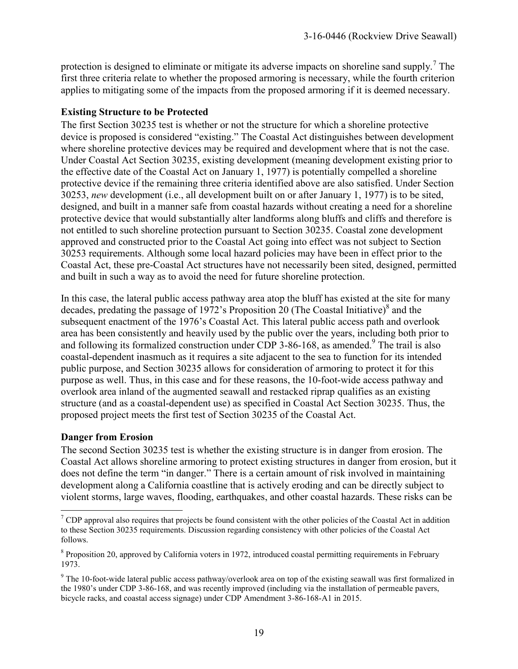protection is designed to eliminate or mitigate its adverse impacts on shoreline sand supply.<sup>7</sup> The first three criteria relate to whether the proposed armoring is necessary, while the fourth criterion applies to mitigating some of the impacts from the proposed armoring if it is deemed necessary.

#### **Existing Structure to be Protected**

The first Section 30235 test is whether or not the structure for which a shoreline protective device is proposed is considered "existing." The Coastal Act distinguishes between development where shoreline protective devices may be required and development where that is not the case. Under Coastal Act Section 30235, existing development (meaning development existing prior to the effective date of the Coastal Act on January 1, 1977) is potentially compelled a shoreline protective device if the remaining three criteria identified above are also satisfied. Under Section 30253, *new* development (i.e., all development built on or after January 1, 1977) is to be sited, designed, and built in a manner safe from coastal hazards without creating a need for a shoreline protective device that would substantially alter landforms along bluffs and cliffs and therefore is not entitled to such shoreline protection pursuant to Section 30235. Coastal zone development approved and constructed prior to the Coastal Act going into effect was not subject to Section 30253 requirements. Although some local hazard policies may have been in effect prior to the Coastal Act, these pre-Coastal Act structures have not necessarily been sited, designed, permitted and built in such a way as to avoid the need for future shoreline protection.

In this case, the lateral public access pathway area atop the bluff has existed at the site for many decades, predating the passage of 1972's Proposition 20 (The Coastal Initiative) $^8$  and the subsequent enactment of the 1976's Coastal Act. This lateral public access path and overlook area has been consistently and heavily used by the public over the years, including both prior to and following its formalized construction under CDP 3-86-168, as amended.<sup>9</sup> The trail is also coastal-dependent inasmuch as it requires a site adjacent to the sea to function for its intended public purpose, and Section 30235 allows for consideration of armoring to protect it for this purpose as well. Thus, in this case and for these reasons, the 10-foot-wide access pathway and overlook area inland of the augmented seawall and restacked riprap qualifies as an existing structure (and as a coastal-dependent use) as specified in Coastal Act Section 30235. Thus, the proposed project meets the first test of Section 30235 of the Coastal Act.

## **Danger from Erosion**

The second Section 30235 test is whether the existing structure is in danger from erosion. The Coastal Act allows shoreline armoring to protect existing structures in danger from erosion, but it does not define the term "in danger." There is a certain amount of risk involved in maintaining development along a California coastline that is actively eroding and can be directly subject to violent storms, large waves, flooding, earthquakes, and other coastal hazards. These risks can be

 $\overline{a}$  $7$  CDP approval also requires that projects be found consistent with the other policies of the Coastal Act in addition to these Section 30235 requirements. Discussion regarding consistency with other policies of the Coastal Act follows.

<sup>&</sup>lt;sup>8</sup> Proposition 20, approved by California voters in 1972, introduced coastal permitting requirements in February 1973.

 $9$  The 10-foot-wide lateral public access pathway/overlook area on top of the existing seawall was first formalized in the 1980's under CDP 3-86-168, and was recently improved (including via the installation of permeable pavers, bicycle racks, and coastal access signage) under CDP Amendment 3-86-168-A1 in 2015.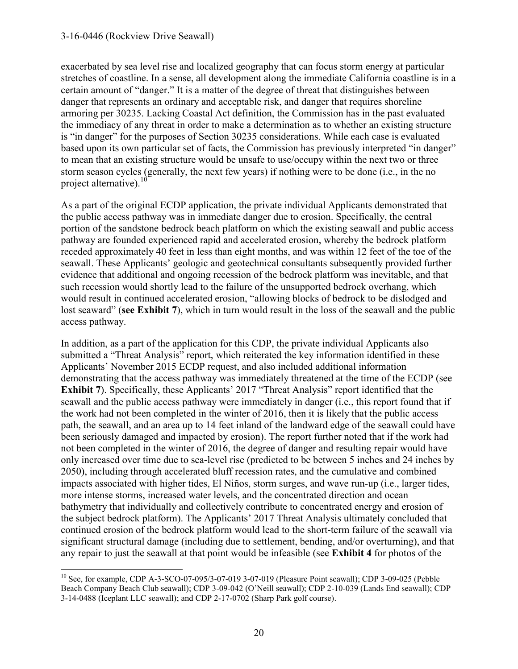exacerbated by sea level rise and localized geography that can focus storm energy at particular stretches of coastline. In a sense, all development along the immediate California coastline is in a certain amount of "danger." It is a matter of the degree of threat that distinguishes between danger that represents an ordinary and acceptable risk, and danger that requires shoreline armoring per 30235. Lacking Coastal Act definition, the Commission has in the past evaluated the immediacy of any threat in order to make a determination as to whether an existing structure is "in danger" for the purposes of Section 30235 considerations. While each case is evaluated based upon its own particular set of facts, the Commission has previously interpreted "in danger" to mean that an existing structure would be unsafe to use/occupy within the next two or three storm season cycles (generally, the next few years) if nothing were to be done (i.e., in the no project alternative). $10$ 

As a part of the original ECDP application, the private individual Applicants demonstrated that the public access pathway was in immediate danger due to erosion. Specifically, the central portion of the sandstone bedrock beach platform on which the existing seawall and public access pathway are founded experienced rapid and accelerated erosion, whereby the bedrock platform receded approximately 40 feet in less than eight months, and was within 12 feet of the toe of the seawall. These Applicants' geologic and geotechnical consultants subsequently provided further evidence that additional and ongoing recession of the bedrock platform was inevitable, and that such recession would shortly lead to the failure of the unsupported bedrock overhang, which would result in continued accelerated erosion, "allowing blocks of bedrock to be dislodged and lost seaward" (**see Exhibit 7**), which in turn would result in the loss of the seawall and the public access pathway.

In addition, as a part of the application for this CDP, the private individual Applicants also submitted a "Threat Analysis" report, which reiterated the key information identified in these Applicants' November 2015 ECDP request, and also included additional information demonstrating that the access pathway was immediately threatened at the time of the ECDP (see **Exhibit 7**). Specifically, these Applicants' 2017 "Threat Analysis" report identified that the seawall and the public access pathway were immediately in danger (i.e., this report found that if the work had not been completed in the winter of 2016, then it is likely that the public access path, the seawall, and an area up to 14 feet inland of the landward edge of the seawall could have been seriously damaged and impacted by erosion). The report further noted that if the work had not been completed in the winter of 2016, the degree of danger and resulting repair would have only increased over time due to sea-level rise (predicted to be between 5 inches and 24 inches by 2050), including through accelerated bluff recession rates, and the cumulative and combined impacts associated with higher tides, El Niños, storm surges, and wave run-up (i.e., larger tides, more intense storms, increased water levels, and the concentrated direction and ocean bathymetry that individually and collectively contribute to concentrated energy and erosion of the subject bedrock platform). The Applicants' 2017 Threat Analysis ultimately concluded that continued erosion of the bedrock platform would lead to the short-term failure of the seawall via significant structural damage (including due to settlement, bending, and/or overturning), and that any repair to just the seawall at that point would be infeasible (see **Exhibit 4** for photos of the

 $\overline{a}$ <sup>10</sup> See, for example, CDP A-3-SCO-07-095/3-07-019 3-07-019 (Pleasure Point seawall); CDP 3-09-025 (Pebble Beach Company Beach Club seawall); CDP 3-09-042 (O'Neill seawall); CDP 2-10-039 (Lands End seawall); CDP 3-14-0488 (Iceplant LLC seawall); and CDP 2-17-0702 (Sharp Park golf course).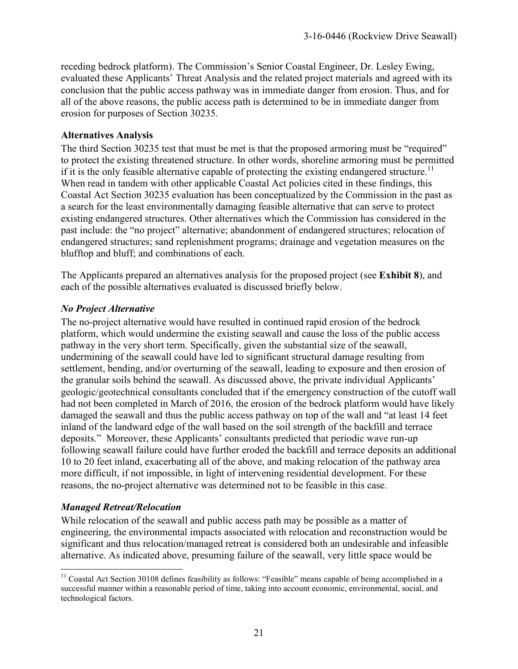receding bedrock platform). The Commission's Senior Coastal Engineer, Dr. Lesley Ewing, evaluated these Applicants' Threat Analysis and the related project materials and agreed with its conclusion that the public access pathway was in immediate danger from erosion. Thus, and for all of the above reasons, the public access path is determined to be in immediate danger from erosion for purposes of Section 30235.

#### **Alternatives Analysis**

The third Section 30235 test that must be met is that the proposed armoring must be "required" to protect the existing threatened structure. In other words, shoreline armoring must be permitted if it is the only feasible alternative capable of protecting the existing endangered structure.<sup>11</sup> When read in tandem with other applicable Coastal Act policies cited in these findings, this Coastal Act Section 30235 evaluation has been conceptualized by the Commission in the past as a search for the least environmentally damaging feasible alternative that can serve to protect existing endangered structures. Other alternatives which the Commission has considered in the past include: the "no project" alternative; abandonment of endangered structures; relocation of endangered structures; sand replenishment programs; drainage and vegetation measures on the blufftop and bluff; and combinations of each.

The Applicants prepared an alternatives analysis for the proposed project (see **Exhibit 8**), and each of the possible alternatives evaluated is discussed briefly below.

#### *No Project Alternative*

The no-project alternative would have resulted in continued rapid erosion of the bedrock platform, which would undermine the existing seawall and cause the loss of the public access pathway in the very short term. Specifically, given the substantial size of the seawall, undermining of the seawall could have led to significant structural damage resulting from settlement, bending, and/or overturning of the seawall, leading to exposure and then erosion of the granular soils behind the seawall. As discussed above, the private individual Applicants' geologic/geotechnical consultants concluded that if the emergency construction of the cutoff wall had not been completed in March of 2016, the erosion of the bedrock platform would have likely damaged the seawall and thus the public access pathway on top of the wall and "at least 14 feet inland of the landward edge of the wall based on the soil strength of the backfill and terrace deposits." Moreover, these Applicants' consultants predicted that periodic wave run-up following seawall failure could have further eroded the backfill and terrace deposits an additional 10 to 20 feet inland, exacerbating all of the above, and making relocation of the pathway area more difficult, if not impossible, in light of intervening residential development. For these reasons, the no-project alternative was determined not to be feasible in this case.

#### *Managed Retreat/Relocation*

While relocation of the seawall and public access path may be possible as a matter of engineering, the environmental impacts associated with relocation and reconstruction would be significant and thus relocation/managed retreat is considered both an undesirable and infeasible alternative. As indicated above, presuming failure of the seawall, very little space would be

 $\overline{a}$  $11$  Coastal Act Section 30108 defines feasibility as follows: "Feasible" means capable of being accomplished in a successful manner within a reasonable period of time, taking into account economic, environmental, social, and technological factors.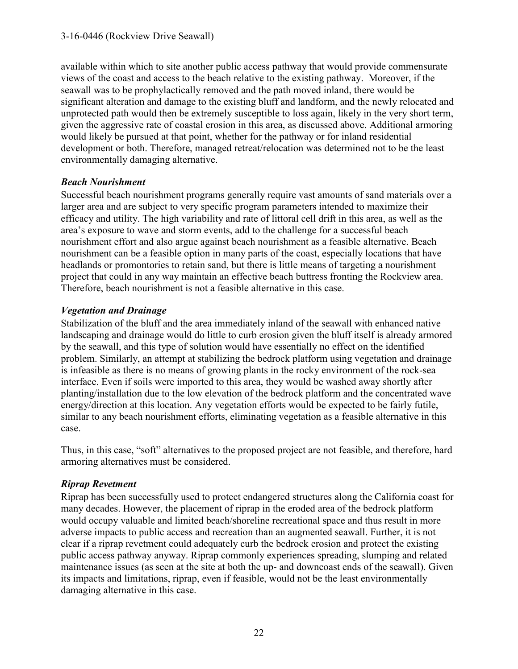available within which to site another public access pathway that would provide commensurate views of the coast and access to the beach relative to the existing pathway. Moreover, if the seawall was to be prophylactically removed and the path moved inland, there would be significant alteration and damage to the existing bluff and landform, and the newly relocated and unprotected path would then be extremely susceptible to loss again, likely in the very short term, given the aggressive rate of coastal erosion in this area, as discussed above. Additional armoring would likely be pursued at that point, whether for the pathway or for inland residential development or both. Therefore, managed retreat/relocation was determined not to be the least environmentally damaging alternative.

#### *Beach Nourishment*

Successful beach nourishment programs generally require vast amounts of sand materials over a larger area and are subject to very specific program parameters intended to maximize their efficacy and utility. The high variability and rate of littoral cell drift in this area, as well as the area's exposure to wave and storm events, add to the challenge for a successful beach nourishment effort and also argue against beach nourishment as a feasible alternative. Beach nourishment can be a feasible option in many parts of the coast, especially locations that have headlands or promontories to retain sand, but there is little means of targeting a nourishment project that could in any way maintain an effective beach buttress fronting the Rockview area. Therefore, beach nourishment is not a feasible alternative in this case.

## *Vegetation and Drainage*

Stabilization of the bluff and the area immediately inland of the seawall with enhanced native landscaping and drainage would do little to curb erosion given the bluff itself is already armored by the seawall, and this type of solution would have essentially no effect on the identified problem. Similarly, an attempt at stabilizing the bedrock platform using vegetation and drainage is infeasible as there is no means of growing plants in the rocky environment of the rock-sea interface. Even if soils were imported to this area, they would be washed away shortly after planting/installation due to the low elevation of the bedrock platform and the concentrated wave energy/direction at this location. Any vegetation efforts would be expected to be fairly futile, similar to any beach nourishment efforts, eliminating vegetation as a feasible alternative in this case.

Thus, in this case, "soft" alternatives to the proposed project are not feasible, and therefore, hard armoring alternatives must be considered.

## *Riprap Revetment*

Riprap has been successfully used to protect endangered structures along the California coast for many decades. However, the placement of riprap in the eroded area of the bedrock platform would occupy valuable and limited beach/shoreline recreational space and thus result in more adverse impacts to public access and recreation than an augmented seawall. Further, it is not clear if a riprap revetment could adequately curb the bedrock erosion and protect the existing public access pathway anyway. Riprap commonly experiences spreading, slumping and related maintenance issues (as seen at the site at both the up- and downcoast ends of the seawall). Given its impacts and limitations, riprap, even if feasible, would not be the least environmentally damaging alternative in this case.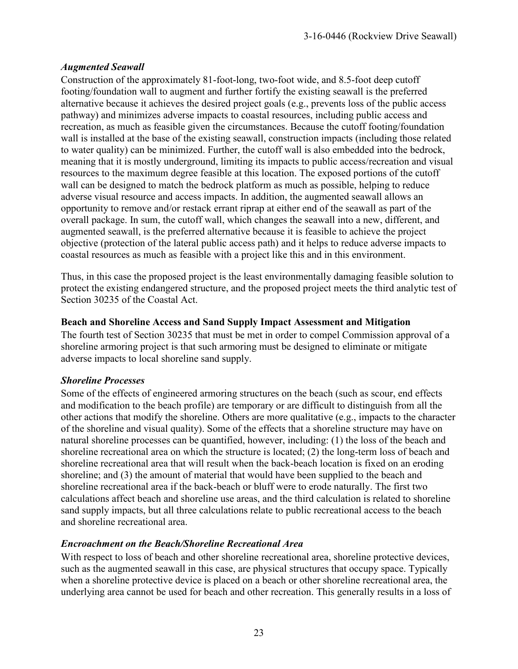#### *Augmented Seawall*

Construction of the approximately 81-foot-long, two-foot wide, and 8.5-foot deep cutoff footing/foundation wall to augment and further fortify the existing seawall is the preferred alternative because it achieves the desired project goals (e.g., prevents loss of the public access pathway) and minimizes adverse impacts to coastal resources, including public access and recreation, as much as feasible given the circumstances. Because the cutoff footing/foundation wall is installed at the base of the existing seawall, construction impacts (including those related to water quality) can be minimized. Further, the cutoff wall is also embedded into the bedrock, meaning that it is mostly underground, limiting its impacts to public access/recreation and visual resources to the maximum degree feasible at this location. The exposed portions of the cutoff wall can be designed to match the bedrock platform as much as possible, helping to reduce adverse visual resource and access impacts. In addition, the augmented seawall allows an opportunity to remove and/or restack errant riprap at either end of the seawall as part of the overall package. In sum, the cutoff wall, which changes the seawall into a new, different, and augmented seawall, is the preferred alternative because it is feasible to achieve the project objective (protection of the lateral public access path) and it helps to reduce adverse impacts to coastal resources as much as feasible with a project like this and in this environment.

Thus, in this case the proposed project is the least environmentally damaging feasible solution to protect the existing endangered structure, and the proposed project meets the third analytic test of Section 30235 of the Coastal Act.

#### **Beach and Shoreline Access and Sand Supply Impact Assessment and Mitigation**

The fourth test of Section 30235 that must be met in order to compel Commission approval of a shoreline armoring project is that such armoring must be designed to eliminate or mitigate adverse impacts to local shoreline sand supply.

#### *Shoreline Processes*

Some of the effects of engineered armoring structures on the beach (such as scour, end effects and modification to the beach profile) are temporary or are difficult to distinguish from all the other actions that modify the shoreline. Others are more qualitative (e.g., impacts to the character of the shoreline and visual quality). Some of the effects that a shoreline structure may have on natural shoreline processes can be quantified, however, including: (1) the loss of the beach and shoreline recreational area on which the structure is located; (2) the long-term loss of beach and shoreline recreational area that will result when the back-beach location is fixed on an eroding shoreline; and (3) the amount of material that would have been supplied to the beach and shoreline recreational area if the back-beach or bluff were to erode naturally. The first two calculations affect beach and shoreline use areas, and the third calculation is related to shoreline sand supply impacts, but all three calculations relate to public recreational access to the beach and shoreline recreational area.

## *Encroachment on the Beach/Shoreline Recreational Area*

With respect to loss of beach and other shoreline recreational area, shoreline protective devices, such as the augmented seawall in this case, are physical structures that occupy space. Typically when a shoreline protective device is placed on a beach or other shoreline recreational area, the underlying area cannot be used for beach and other recreation. This generally results in a loss of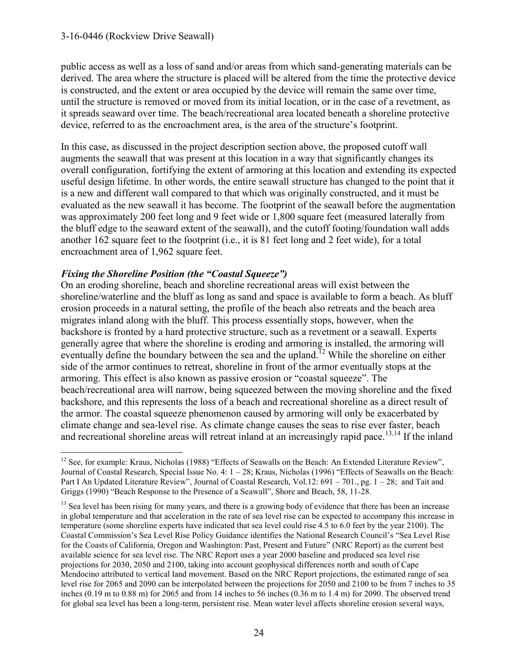public access as well as a loss of sand and/or areas from which sand-generating materials can be derived. The area where the structure is placed will be altered from the time the protective device is constructed, and the extent or area occupied by the device will remain the same over time, until the structure is removed or moved from its initial location, or in the case of a revetment, as it spreads seaward over time. The beach/recreational area located beneath a shoreline protective device, referred to as the encroachment area, is the area of the structure's footprint.

In this case, as discussed in the project description section above, the proposed cutoff wall augments the seawall that was present at this location in a way that significantly changes its overall configuration, fortifying the extent of armoring at this location and extending its expected useful design lifetime. In other words, the entire seawall structure has changed to the point that it is a new and different wall compared to that which was originally constructed, and it must be evaluated as the new seawall it has become. The footprint of the seawall before the augmentation was approximately 200 feet long and 9 feet wide or 1,800 square feet (measured laterally from the bluff edge to the seaward extent of the seawall), and the cutoff footing/foundation wall adds another 162 square feet to the footprint (i.e., it is 81 feet long and 2 feet wide), for a total encroachment area of 1,962 square feet.

## *Fixing the Shoreline Position (the "Coastal Squeeze")*

On an eroding shoreline, beach and shoreline recreational areas will exist between the shoreline/waterline and the bluff as long as sand and space is available to form a beach. As bluff erosion proceeds in a natural setting, the profile of the beach also retreats and the beach area migrates inland along with the bluff. This process essentially stops, however, when the backshore is fronted by a hard protective structure, such as a revetment or a seawall. Experts generally agree that where the shoreline is eroding and armoring is installed, the armoring will eventually define the boundary between the sea and the upland.<sup> $12$ </sup> While the shoreline on either side of the armor continues to retreat, shoreline in front of the armor eventually stops at the armoring. This effect is also known as passive erosion or "coastal squeeze". The beach/recreational area will narrow, being squeezed between the moving shoreline and the fixed backshore, and this represents the loss of a beach and recreational shoreline as a direct result of the armor. The coastal squeeze phenomenon caused by armoring will only be exacerbated by climate change and sea-level rise. As climate change causes the seas to rise ever faster, beach and recreational shoreline areas will retreat inland at an increasingly rapid pace.<sup>13,14</sup> If the inland

 $\overline{a}$ <sup>12</sup> See, for example: Kraus, Nicholas (1988) "Effects of Seawalls on the Beach: An Extended Literature Review", Journal of Coastal Research, Special Issue No. 4: 1 – 28; Kraus, Nicholas (1996) "Effects of Seawalls on the Beach: Part I An Updated Literature Review", Journal of Coastal Research, Vol.12: 691 – 701., pg. 1 – 28; and Tait and Griggs (1990) "Beach Response to the Presence of a Seawall", Shore and Beach, 58, 11-28.

<sup>&</sup>lt;sup>13</sup> Sea level has been rising for many years, and there is a growing body of evidence that there has been an increase in global temperature and that acceleration in the rate of sea level rise can be expected to accompany this increase in temperature (some shoreline experts have indicated that sea level could rise 4.5 to 6.0 feet by the year 2100). The Coastal Commission's Sea Level Rise Policy Guidance identifies the National Research Council's "Sea Level Rise for the Coasts of California, Oregon and Washington: Past, Present and Future" (NRC Report) as the current best available science for sea level rise. The NRC Report uses a year 2000 baseline and produced sea level rise projections for 2030, 2050 and 2100, taking into account geophysical differences north and south of Cape Mendocino attributed to vertical land movement. Based on the NRC Report projections, the estimated range of sea level rise for 2065 and 2090 can be interpolated between the projections for 2050 and 2100 to be from 7 inches to 35 inches (0.19 m to 0.88 m) for 2065 and from 14 inches to 56 inches (0.36 m to 1.4 m) for 2090. The observed trend for global sea level has been a long-term, persistent rise. Mean water level affects shoreline erosion several ways,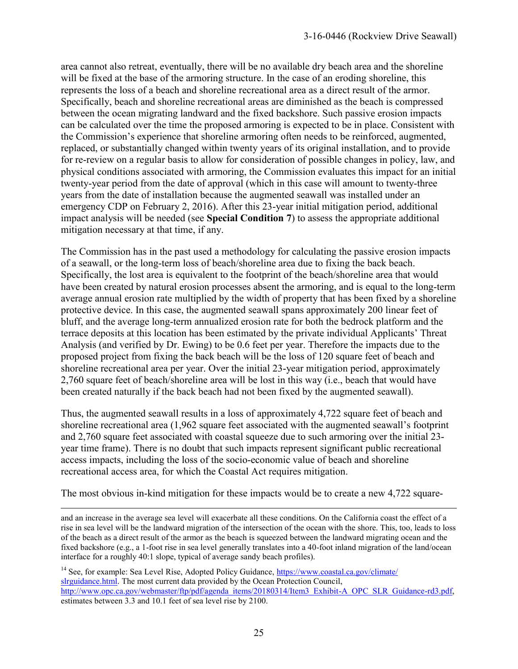area cannot also retreat, eventually, there will be no available dry beach area and the shoreline will be fixed at the base of the armoring structure. In the case of an eroding shoreline, this represents the loss of a beach and shoreline recreational area as a direct result of the armor. Specifically, beach and shoreline recreational areas are diminished as the beach is compressed between the ocean migrating landward and the fixed backshore. Such passive erosion impacts can be calculated over the time the proposed armoring is expected to be in place. Consistent with the Commission's experience that shoreline armoring often needs to be reinforced, augmented, replaced, or substantially changed within twenty years of its original installation, and to provide for re-review on a regular basis to allow for consideration of possible changes in policy, law, and physical conditions associated with armoring, the Commission evaluates this impact for an initial twenty-year period from the date of approval (which in this case will amount to twenty-three years from the date of installation because the augmented seawall was installed under an emergency CDP on February 2, 2016). After this 23-year initial mitigation period, additional impact analysis will be needed (see **Special Condition 7**) to assess the appropriate additional mitigation necessary at that time, if any.

The Commission has in the past used a methodology for calculating the passive erosion impacts of a seawall, or the long-term loss of beach/shoreline area due to fixing the back beach. Specifically, the lost area is equivalent to the footprint of the beach/shoreline area that would have been created by natural erosion processes absent the armoring, and is equal to the long-term average annual erosion rate multiplied by the width of property that has been fixed by a shoreline protective device. In this case, the augmented seawall spans approximately 200 linear feet of bluff, and the average long-term annualized erosion rate for both the bedrock platform and the terrace deposits at this location has been estimated by the private individual Applicants' Threat Analysis (and verified by Dr. Ewing) to be 0.6 feet per year. Therefore the impacts due to the proposed project from fixing the back beach will be the loss of 120 square feet of beach and shoreline recreational area per year. Over the initial 23-year mitigation period, approximately 2,760 square feet of beach/shoreline area will be lost in this way (i.e., beach that would have been created naturally if the back beach had not been fixed by the augmented seawall).

Thus, the augmented seawall results in a loss of approximately 4,722 square feet of beach and shoreline recreational area (1,962 square feet associated with the augmented seawall's footprint and 2,760 square feet associated with coastal squeeze due to such armoring over the initial 23 year time frame). There is no doubt that such impacts represent significant public recreational access impacts, including the loss of the socio-economic value of beach and shoreline recreational access area, for which the Coastal Act requires mitigation.

The most obvious in-kind mitigation for these impacts would be to create a new 4,722 square-

 $\overline{a}$ and an increase in the average sea level will exacerbate all these conditions. On the California coast the effect of a rise in sea level will be the landward migration of the intersection of the ocean with the shore. This, too, leads to loss of the beach as a direct result of the armor as the beach is squeezed between the landward migrating ocean and the fixed backshore (e.g., a 1-foot rise in sea level generally translates into a 40-foot inland migration of the land/ocean interface for a roughly 40:1 slope, typical of average sandy beach profiles).

<sup>14</sup> See, for example: Sea Level Rise, Adopted Policy Guidance, https://www.coastal.ca.gov/climate/ [slrguidance.html.](https://www.coastal.ca.gov/climate/%20slrguidance.html) The most current data provided by the Ocean Protection Council, [http://www.opc.ca.gov/webmaster/ftp/pdf/agenda\\_items/20180314/Item3\\_Exhibit-A\\_OPC\\_SLR\\_Guidance-rd3.pdf,](http://www.opc.ca.gov/webmaster/ftp/pdf/agenda_items/20180314/Item3_Exhibit-A_OPC_SLR_Guidance-rd3.pdf) estimates between 3.3 and 10.1 feet of sea level rise by 2100.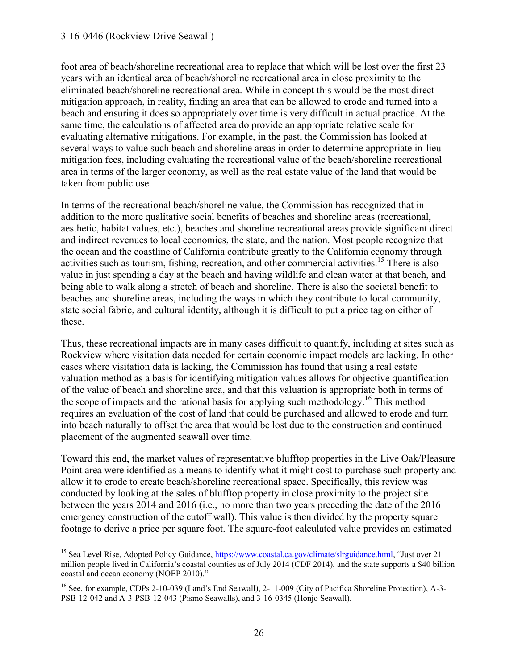$\overline{a}$ 

foot area of beach/shoreline recreational area to replace that which will be lost over the first 23 years with an identical area of beach/shoreline recreational area in close proximity to the eliminated beach/shoreline recreational area. While in concept this would be the most direct mitigation approach, in reality, finding an area that can be allowed to erode and turned into a beach and ensuring it does so appropriately over time is very difficult in actual practice. At the same time, the calculations of affected area do provide an appropriate relative scale for evaluating alternative mitigations. For example, in the past, the Commission has looked at several ways to value such beach and shoreline areas in order to determine appropriate in-lieu mitigation fees, including evaluating the recreational value of the beach/shoreline recreational area in terms of the larger economy, as well as the real estate value of the land that would be taken from public use.

In terms of the recreational beach/shoreline value, the Commission has recognized that in addition to the more qualitative social benefits of beaches and shoreline areas (recreational, aesthetic, habitat values, etc.), beaches and shoreline recreational areas provide significant direct and indirect revenues to local economies, the state, and the nation. Most people recognize that the ocean and the coastline of California contribute greatly to the California economy through activities such as tourism, fishing, recreation, and other commercial activities.<sup>15</sup> There is also value in just spending a day at the beach and having wildlife and clean water at that beach, and being able to walk along a stretch of beach and shoreline. There is also the societal benefit to beaches and shoreline areas, including the ways in which they contribute to local community, state social fabric, and cultural identity, although it is difficult to put a price tag on either of these.

Thus, these recreational impacts are in many cases difficult to quantify, including at sites such as Rockview where visitation data needed for certain economic impact models are lacking. In other cases where visitation data is lacking, the Commission has found that using a real estate valuation method as a basis for identifying mitigation values allows for objective quantification of the value of beach and shoreline area, and that this valuation is appropriate both in terms of the scope of impacts and the rational basis for applying such methodology.<sup>16</sup> This method requires an evaluation of the cost of land that could be purchased and allowed to erode and turn into beach naturally to offset the area that would be lost due to the construction and continued placement of the augmented seawall over time.

Toward this end, the market values of representative blufftop properties in the Live Oak/Pleasure Point area were identified as a means to identify what it might cost to purchase such property and allow it to erode to create beach/shoreline recreational space. Specifically, this review was conducted by looking at the sales of blufftop property in close proximity to the project site between the years 2014 and 2016 (i.e., no more than two years preceding the date of the 2016 emergency construction of the cutoff wall). This value is then divided by the property square footage to derive a price per square foot. The square-foot calculated value provides an estimated

<sup>&</sup>lt;sup>15</sup> Sea Level Rise, Adopted Policy Guidance, [https://www.coastal.ca.gov/climate/slrguidance.html,](https://www.coastal.ca.gov/climate/slrguidance.html) "Just over 21 million people lived in California's coastal counties as of July 2014 (CDF 2014), and the state supports a \$40 billion coastal and ocean economy (NOEP 2010)."

<sup>&</sup>lt;sup>16</sup> See, for example, CDPs 2-10-039 (Land's End Seawall), 2-11-009 (City of Pacifica Shoreline Protection), A-3-PSB-12-042 and A-3-PSB-12-043 (Pismo Seawalls), and 3-16-0345 (Honjo Seawall).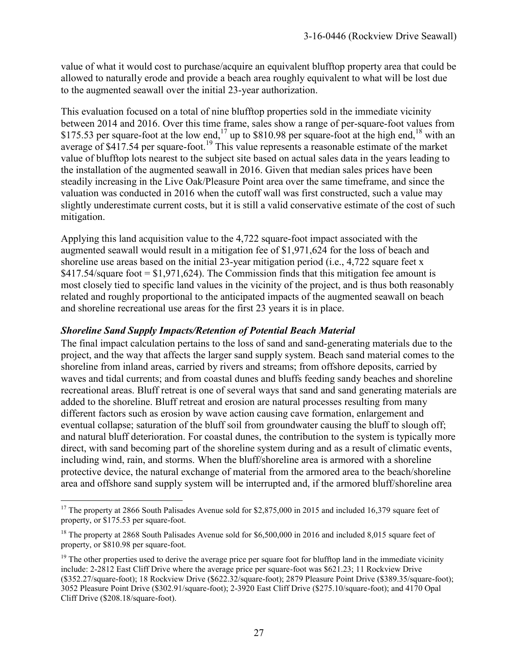value of what it would cost to purchase/acquire an equivalent blufftop property area that could be allowed to naturally erode and provide a beach area roughly equivalent to what will be lost due to the augmented seawall over the initial 23-year authorization.

This evaluation focused on a total of nine blufftop properties sold in the immediate vicinity between 2014 and 2016. Over this time frame, sales show a range of per-square-foot values from \$175.53 per square-foot at the low end,<sup>17</sup> up to \$810.98 per square-foot at the high end,<sup>18</sup> with an average of \$417.54 per square-foot.<sup>19</sup> This value represents a reasonable estimate of the market value of blufftop lots nearest to the subject site based on actual sales data in the years leading to the installation of the augmented seawall in 2016. Given that median sales prices have been steadily increasing in the Live Oak/Pleasure Point area over the same timeframe, and since the valuation was conducted in 2016 when the cutoff wall was first constructed, such a value may slightly underestimate current costs, but it is still a valid conservative estimate of the cost of such mitigation.

Applying this land acquisition value to the 4,722 square-foot impact associated with the augmented seawall would result in a mitigation fee of \$1,971,624 for the loss of beach and shoreline use areas based on the initial 23-year mitigation period (i.e.,  $4,722$  square feet x  $$417.54$ /square foot  $= $1,971,624$ ). The Commission finds that this mitigation fee amount is most closely tied to specific land values in the vicinity of the project, and is thus both reasonably related and roughly proportional to the anticipated impacts of the augmented seawall on beach and shoreline recreational use areas for the first 23 years it is in place.

#### *Shoreline Sand Supply Impacts/Retention of Potential Beach Material*

The final impact calculation pertains to the loss of sand and sand-generating materials due to the project, and the way that affects the larger sand supply system. Beach sand material comes to the shoreline from inland areas, carried by rivers and streams; from offshore deposits, carried by waves and tidal currents; and from coastal dunes and bluffs feeding sandy beaches and shoreline recreational areas. Bluff retreat is one of several ways that sand and sand generating materials are added to the shoreline. Bluff retreat and erosion are natural processes resulting from many different factors such as erosion by wave action causing cave formation, enlargement and eventual collapse; saturation of the bluff soil from groundwater causing the bluff to slough off; and natural bluff deterioration. For coastal dunes, the contribution to the system is typically more direct, with sand becoming part of the shoreline system during and as a result of climatic events, including wind, rain, and storms. When the bluff/shoreline area is armored with a shoreline protective device, the natural exchange of material from the armored area to the beach/shoreline area and offshore sand supply system will be interrupted and, if the armored bluff/shoreline area

 $\overline{a}$ <sup>17</sup> The property at 2866 South Palisades Avenue sold for \$2,875,000 in 2015 and included 16,379 square feet of property, or \$175.53 per square-foot.

<sup>&</sup>lt;sup>18</sup> The property at 2868 South Palisades Avenue sold for \$6,500,000 in 2016 and included 8,015 square feet of property, or \$810.98 per square-foot.

 $19$  The other properties used to derive the average price per square foot for blufftop land in the immediate vicinity include: 2-2812 East Cliff Drive where the average price per square-foot was \$621.23; 11 Rockview Drive (\$352.27/square-foot); 18 Rockview Drive (\$622.32/square-foot); 2879 Pleasure Point Drive (\$389.35/square-foot); 3052 Pleasure Point Drive (\$302.91/square-foot); 2-3920 East Cliff Drive (\$275.10/square-foot); and 4170 Opal Cliff Drive (\$208.18/square-foot).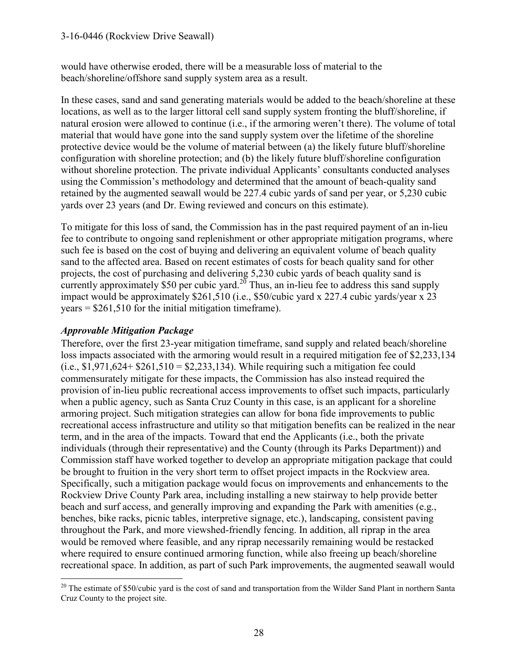would have otherwise eroded, there will be a measurable loss of material to the beach/shoreline/offshore sand supply system area as a result.

In these cases, sand and sand generating materials would be added to the beach/shoreline at these locations, as well as to the larger littoral cell sand supply system fronting the bluff/shoreline, if natural erosion were allowed to continue (i.e., if the armoring weren't there). The volume of total material that would have gone into the sand supply system over the lifetime of the shoreline protective device would be the volume of material between (a) the likely future bluff/shoreline configuration with shoreline protection; and (b) the likely future bluff/shoreline configuration without shoreline protection. The private individual Applicants' consultants conducted analyses using the Commission's methodology and determined that the amount of beach-quality sand retained by the augmented seawall would be 227.4 cubic yards of sand per year, or 5,230 cubic yards over 23 years (and Dr. Ewing reviewed and concurs on this estimate).

To mitigate for this loss of sand, the Commission has in the past required payment of an in-lieu fee to contribute to ongoing sand replenishment or other appropriate mitigation programs, where such fee is based on the cost of buying and delivering an equivalent volume of beach quality sand to the affected area. Based on recent estimates of costs for beach quality sand for other projects, the cost of purchasing and delivering 5,230 cubic yards of beach quality sand is currently approximately \$50 per cubic yard.<sup>20</sup> Thus, an in-lieu fee to address this sand supply impact would be approximately \$261,510 (i.e., \$50/cubic yard x 227.4 cubic yards/year x 23  $years = $261,510$  for the initial mitigation timeframe).

### *Approvable Mitigation Package*

Therefore, over the first 23-year mitigation timeframe, sand supply and related beach/shoreline loss impacts associated with the armoring would result in a required mitigation fee of \$2,233,134  $(i.e., $1,971,624+ $261,510 = $2,233,134)$ . While requiring such a mitigation fee could commensurately mitigate for these impacts, the Commission has also instead required the provision of in-lieu public recreational access improvements to offset such impacts, particularly when a public agency, such as Santa Cruz County in this case, is an applicant for a shoreline armoring project. Such mitigation strategies can allow for bona fide improvements to public recreational access infrastructure and utility so that mitigation benefits can be realized in the near term, and in the area of the impacts. Toward that end the Applicants (i.e., both the private individuals (through their representative) and the County (through its Parks Department)) and Commission staff have worked together to develop an appropriate mitigation package that could be brought to fruition in the very short term to offset project impacts in the Rockview area. Specifically, such a mitigation package would focus on improvements and enhancements to the Rockview Drive County Park area, including installing a new stairway to help provide better beach and surf access, and generally improving and expanding the Park with amenities (e.g., benches, bike racks, picnic tables, interpretive signage, etc.), landscaping, consistent paving throughout the Park, and more viewshed-friendly fencing. In addition, all riprap in the area would be removed where feasible, and any riprap necessarily remaining would be restacked where required to ensure continued armoring function, while also freeing up beach/shoreline recreational space. In addition, as part of such Park improvements, the augmented seawall would

 $\overline{a}$  $20$  The estimate of \$50/cubic yard is the cost of sand and transportation from the Wilder Sand Plant in northern Santa Cruz County to the project site.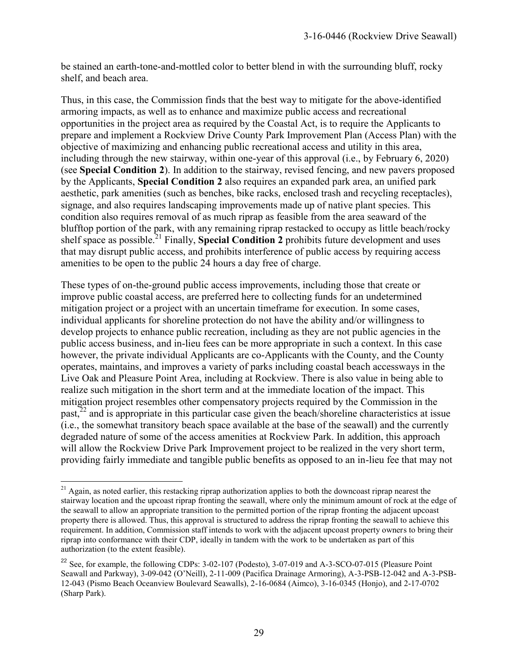be stained an earth-tone-and-mottled color to better blend in with the surrounding bluff, rocky shelf, and beach area.

Thus, in this case, the Commission finds that the best way to mitigate for the above-identified armoring impacts, as well as to enhance and maximize public access and recreational opportunities in the project area as required by the Coastal Act, is to require the Applicants to prepare and implement a Rockview Drive County Park Improvement Plan (Access Plan) with the objective of maximizing and enhancing public recreational access and utility in this area, including through the new stairway, within one-year of this approval (i.e., by February 6, 2020) (see **Special Condition 2**). In addition to the stairway, revised fencing, and new pavers proposed by the Applicants, **Special Condition 2** also requires an expanded park area, an unified park aesthetic, park amenities (such as benches, bike racks, enclosed trash and recycling receptacles), signage, and also requires landscaping improvements made up of native plant species. This condition also requires removal of as much riprap as feasible from the area seaward of the blufftop portion of the park, with any remaining riprap restacked to occupy as little beach/rocky shelf space as possible.<sup>21</sup> Finally, **Special Condition 2** prohibits future development and uses that may disrupt public access, and prohibits interference of public access by requiring access amenities to be open to the public 24 hours a day free of charge.

These types of on-the-ground public access improvements, including those that create or improve public coastal access, are preferred here to collecting funds for an undetermined mitigation project or a project with an uncertain timeframe for execution. In some cases, individual applicants for shoreline protection do not have the ability and/or willingness to develop projects to enhance public recreation, including as they are not public agencies in the public access business, and in-lieu fees can be more appropriate in such a context. In this case however, the private individual Applicants are co-Applicants with the County, and the County operates, maintains, and improves a variety of parks including coastal beach accessways in the Live Oak and Pleasure Point Area, including at Rockview. There is also value in being able to realize such mitigation in the short term and at the immediate location of the impact. This mitigation project resembles other compensatory projects required by the Commission in the past,<sup>22</sup> and is appropriate in this particular case given the beach/shoreline characteristics at issue (i.e., the somewhat transitory beach space available at the base of the seawall) and the currently degraded nature of some of the access amenities at Rockview Park. In addition, this approach will allow the Rockview Drive Park Improvement project to be realized in the very short term, providing fairly immediate and tangible public benefits as opposed to an in-lieu fee that may not

 $\overline{a}$ 

<sup>&</sup>lt;sup>21</sup> Again, as noted earlier, this restacking riprap authorization applies to both the downcoast riprap nearest the stairway location and the upcoast riprap fronting the seawall, where only the minimum amount of rock at the edge of the seawall to allow an appropriate transition to the permitted portion of the riprap fronting the adjacent upcoast property there is allowed. Thus, this approval is structured to address the riprap fronting the seawall to achieve this requirement. In addition, Commission staff intends to work with the adjacent upcoast property owners to bring their riprap into conformance with their CDP, ideally in tandem with the work to be undertaken as part of this authorization (to the extent feasible).

<sup>&</sup>lt;sup>22</sup> See, for example, the following CDPs: 3-02-107 (Podesto), 3-07-019 and A-3-SCO-07-015 (Pleasure Point Seawall and Parkway), 3-09-042 (O'Neill), 2-11-009 (Pacifica Drainage Armoring), A-3-PSB-12-042 and A-3-PSB-12-043 (Pismo Beach Oceanview Boulevard Seawalls), 2-16-0684 (Aimco), 3-16-0345 (Honjo), and 2-17-0702 (Sharp Park).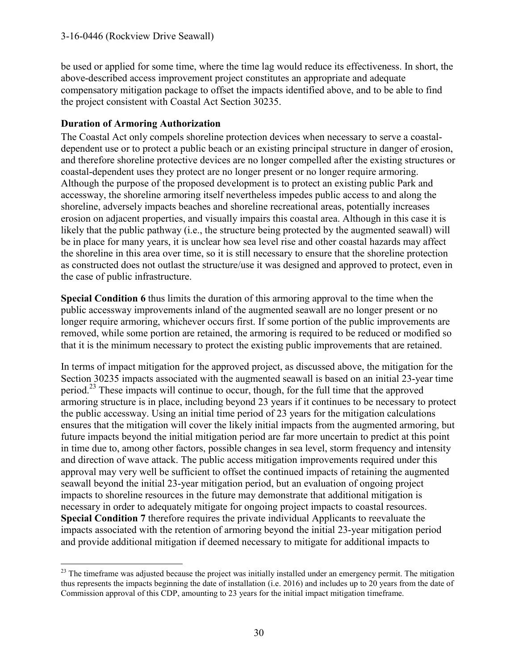be used or applied for some time, where the time lag would reduce its effectiveness. In short, the above-described access improvement project constitutes an appropriate and adequate compensatory mitigation package to offset the impacts identified above, and to be able to find the project consistent with Coastal Act Section 30235.

#### **Duration of Armoring Authorization**

The Coastal Act only compels shoreline protection devices when necessary to serve a coastaldependent use or to protect a public beach or an existing principal structure in danger of erosion, and therefore shoreline protective devices are no longer compelled after the existing structures or coastal-dependent uses they protect are no longer present or no longer require armoring. Although the purpose of the proposed development is to protect an existing public Park and accessway, the shoreline armoring itself nevertheless impedes public access to and along the shoreline, adversely impacts beaches and shoreline recreational areas, potentially increases erosion on adjacent properties, and visually impairs this coastal area. Although in this case it is likely that the public pathway (i.e., the structure being protected by the augmented seawall) will be in place for many years, it is unclear how sea level rise and other coastal hazards may affect the shoreline in this area over time, so it is still necessary to ensure that the shoreline protection as constructed does not outlast the structure/use it was designed and approved to protect, even in the case of public infrastructure.

**Special Condition 6** thus limits the duration of this armoring approval to the time when the public accessway improvements inland of the augmented seawall are no longer present or no longer require armoring, whichever occurs first. If some portion of the public improvements are removed, while some portion are retained, the armoring is required to be reduced or modified so that it is the minimum necessary to protect the existing public improvements that are retained.

In terms of impact mitigation for the approved project, as discussed above, the mitigation for the Section 30235 impacts associated with the augmented seawall is based on an initial 23-year time period.<sup>23</sup> These impacts will continue to occur, though, for the full time that the approved armoring structure is in place, including beyond 23 years if it continues to be necessary to protect the public accessway. Using an initial time period of 23 years for the mitigation calculations ensures that the mitigation will cover the likely initial impacts from the augmented armoring, but future impacts beyond the initial mitigation period are far more uncertain to predict at this point in time due to, among other factors, possible changes in sea level, storm frequency and intensity and direction of wave attack. The public access mitigation improvements required under this approval may very well be sufficient to offset the continued impacts of retaining the augmented seawall beyond the initial 23-year mitigation period, but an evaluation of ongoing project impacts to shoreline resources in the future may demonstrate that additional mitigation is necessary in order to adequately mitigate for ongoing project impacts to coastal resources. **Special Condition 7** therefore requires the private individual Applicants to reevaluate the impacts associated with the retention of armoring beyond the initial 23-year mitigation period and provide additional mitigation if deemed necessary to mitigate for additional impacts to

 $\overline{a}$  $2<sup>23</sup>$  The timeframe was adjusted because the project was initially installed under an emergency permit. The mitigation thus represents the impacts beginning the date of installation (i.e. 2016) and includes up to 20 years from the date of Commission approval of this CDP, amounting to 23 years for the initial impact mitigation timeframe.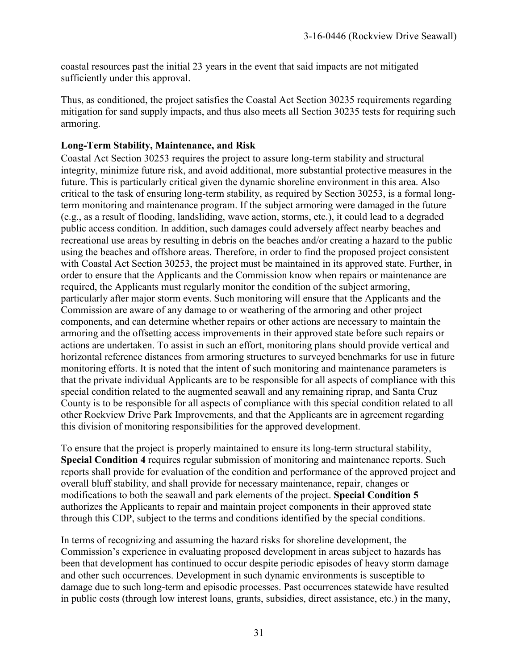coastal resources past the initial 23 years in the event that said impacts are not mitigated sufficiently under this approval.

Thus, as conditioned, the project satisfies the Coastal Act Section 30235 requirements regarding mitigation for sand supply impacts, and thus also meets all Section 30235 tests for requiring such armoring.

#### **Long-Term Stability, Maintenance, and Risk**

Coastal Act Section 30253 requires the project to assure long-term stability and structural integrity, minimize future risk, and avoid additional, more substantial protective measures in the future. This is particularly critical given the dynamic shoreline environment in this area. Also critical to the task of ensuring long-term stability, as required by Section 30253, is a formal longterm monitoring and maintenance program. If the subject armoring were damaged in the future (e.g., as a result of flooding, landsliding, wave action, storms, etc.), it could lead to a degraded public access condition. In addition, such damages could adversely affect nearby beaches and recreational use areas by resulting in debris on the beaches and/or creating a hazard to the public using the beaches and offshore areas. Therefore, in order to find the proposed project consistent with Coastal Act Section 30253, the project must be maintained in its approved state. Further, in order to ensure that the Applicants and the Commission know when repairs or maintenance are required, the Applicants must regularly monitor the condition of the subject armoring, particularly after major storm events. Such monitoring will ensure that the Applicants and the Commission are aware of any damage to or weathering of the armoring and other project components, and can determine whether repairs or other actions are necessary to maintain the armoring and the offsetting access improvements in their approved state before such repairs or actions are undertaken. To assist in such an effort, monitoring plans should provide vertical and horizontal reference distances from armoring structures to surveyed benchmarks for use in future monitoring efforts. It is noted that the intent of such monitoring and maintenance parameters is that the private individual Applicants are to be responsible for all aspects of compliance with this special condition related to the augmented seawall and any remaining riprap, and Santa Cruz County is to be responsible for all aspects of compliance with this special condition related to all other Rockview Drive Park Improvements, and that the Applicants are in agreement regarding this division of monitoring responsibilities for the approved development.

To ensure that the project is properly maintained to ensure its long-term structural stability, **Special Condition 4** requires regular submission of monitoring and maintenance reports. Such reports shall provide for evaluation of the condition and performance of the approved project and overall bluff stability, and shall provide for necessary maintenance, repair, changes or modifications to both the seawall and park elements of the project. **Special Condition 5** authorizes the Applicants to repair and maintain project components in their approved state through this CDP, subject to the terms and conditions identified by the special conditions.

In terms of recognizing and assuming the hazard risks for shoreline development, the Commission's experience in evaluating proposed development in areas subject to hazards has been that development has continued to occur despite periodic episodes of heavy storm damage and other such occurrences. Development in such dynamic environments is susceptible to damage due to such long-term and episodic processes. Past occurrences statewide have resulted in public costs (through low interest loans, grants, subsidies, direct assistance, etc.) in the many,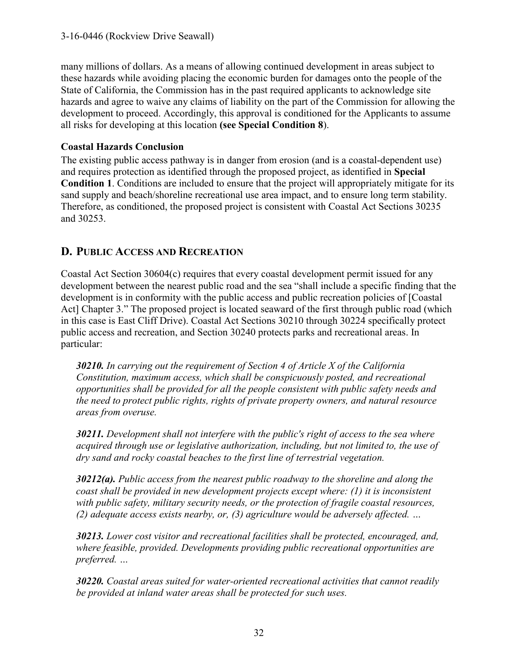many millions of dollars. As a means of allowing continued development in areas subject to these hazards while avoiding placing the economic burden for damages onto the people of the State of California, the Commission has in the past required applicants to acknowledge site hazards and agree to waive any claims of liability on the part of the Commission for allowing the development to proceed. Accordingly, this approval is conditioned for the Applicants to assume all risks for developing at this location **(see Special Condition 8**).

## **Coastal Hazards Conclusion**

The existing public access pathway is in danger from erosion (and is a coastal-dependent use) and requires protection as identified through the proposed project, as identified in **Special Condition 1**. Conditions are included to ensure that the project will appropriately mitigate for its sand supply and beach/shoreline recreational use area impact, and to ensure long term stability. Therefore, as conditioned, the proposed project is consistent with Coastal Act Sections 30235 and 30253.

# **D. PUBLIC ACCESS AND RECREATION**

Coastal Act Section 30604(c) requires that every coastal development permit issued for any development between the nearest public road and the sea "shall include a specific finding that the development is in conformity with the public access and public recreation policies of [Coastal Act] Chapter 3." The proposed project is located seaward of the first through public road (which in this case is East Cliff Drive). Coastal Act Sections 30210 through 30224 specifically protect public access and recreation, and Section 30240 protects parks and recreational areas. In particular:

*30210. In carrying out the requirement of Section 4 of Article X of the California Constitution, maximum access, which shall be conspicuously posted, and recreational opportunities shall be provided for all the people consistent with public safety needs and the need to protect public rights, rights of private property owners, and natural resource areas from overuse.* 

*30211. Development shall not interfere with the public's right of access to the sea where acquired through use or legislative authorization, including, but not limited to, the use of dry sand and rocky coastal beaches to the first line of terrestrial vegetation.* 

*30212(a). Public access from the nearest public roadway to the shoreline and along the coast shall be provided in new development projects except where: (1) it is inconsistent with public safety, military security needs, or the protection of fragile coastal resources, (2) adequate access exists nearby, or, (3) agriculture would be adversely affected. …* 

*30213. Lower cost visitor and recreational facilities shall be protected, encouraged, and, where feasible, provided. Developments providing public recreational opportunities are preferred. …* 

*30220. Coastal areas suited for water-oriented recreational activities that cannot readily be provided at inland water areas shall be protected for such uses.*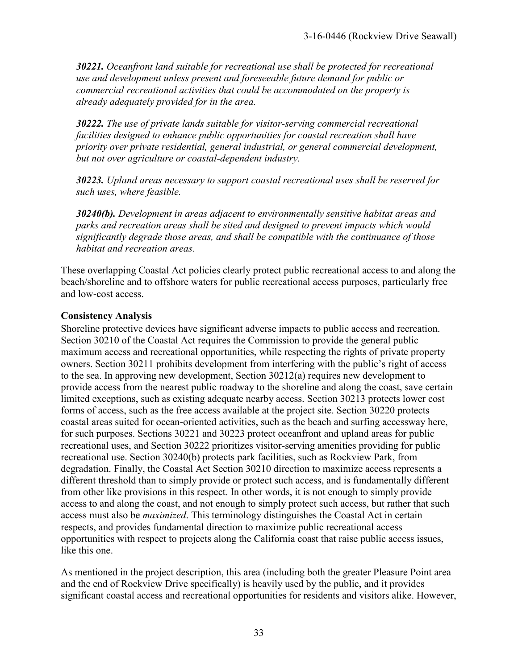*30221. Oceanfront land suitable for recreational use shall be protected for recreational use and development unless present and foreseeable future demand for public or commercial recreational activities that could be accommodated on the property is already adequately provided for in the area.* 

*30222. The use of private lands suitable for visitor-serving commercial recreational facilities designed to enhance public opportunities for coastal recreation shall have priority over private residential, general industrial, or general commercial development, but not over agriculture or coastal-dependent industry.* 

*30223. Upland areas necessary to support coastal recreational uses shall be reserved for such uses, where feasible.* 

*30240(b). Development in areas adjacent to environmentally sensitive habitat areas and parks and recreation areas shall be sited and designed to prevent impacts which would significantly degrade those areas, and shall be compatible with the continuance of those habitat and recreation areas.* 

These overlapping Coastal Act policies clearly protect public recreational access to and along the beach/shoreline and to offshore waters for public recreational access purposes, particularly free and low-cost access.

#### **Consistency Analysis**

Shoreline protective devices have significant adverse impacts to public access and recreation. Section 30210 of the Coastal Act requires the Commission to provide the general public maximum access and recreational opportunities, while respecting the rights of private property owners. Section 30211 prohibits development from interfering with the public's right of access to the sea. In approving new development, Section 30212(a) requires new development to provide access from the nearest public roadway to the shoreline and along the coast, save certain limited exceptions, such as existing adequate nearby access. Section 30213 protects lower cost forms of access, such as the free access available at the project site. Section 30220 protects coastal areas suited for ocean-oriented activities, such as the beach and surfing accessway here, for such purposes. Sections 30221 and 30223 protect oceanfront and upland areas for public recreational uses, and Section 30222 prioritizes visitor-serving amenities providing for public recreational use. Section 30240(b) protects park facilities, such as Rockview Park, from degradation. Finally, the Coastal Act Section 30210 direction to maximize access represents a different threshold than to simply provide or protect such access, and is fundamentally different from other like provisions in this respect. In other words, it is not enough to simply provide access to and along the coast, and not enough to simply protect such access, but rather that such access must also be *maximized*. This terminology distinguishes the Coastal Act in certain respects, and provides fundamental direction to maximize public recreational access opportunities with respect to projects along the California coast that raise public access issues, like this one.

As mentioned in the project description, this area (including both the greater Pleasure Point area and the end of Rockview Drive specifically) is heavily used by the public, and it provides significant coastal access and recreational opportunities for residents and visitors alike. However,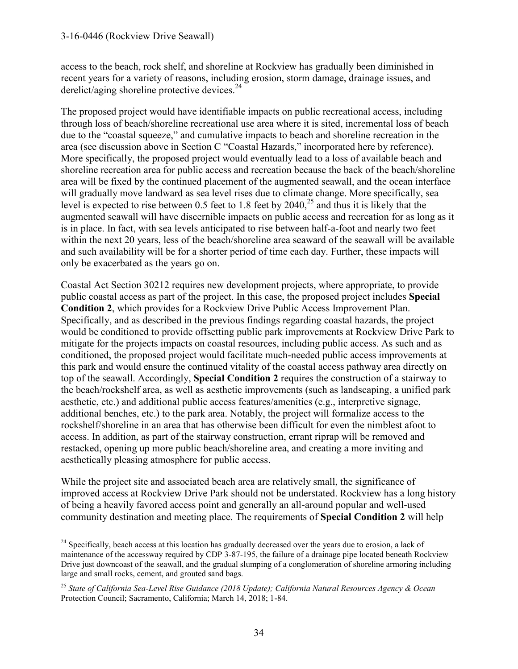access to the beach, rock shelf, and shoreline at Rockview has gradually been diminished in recent years for a variety of reasons, including erosion, storm damage, drainage issues, and derelict/aging shoreline protective devices.<sup>24</sup>

The proposed project would have identifiable impacts on public recreational access, including through loss of beach/shoreline recreational use area where it is sited, incremental loss of beach due to the "coastal squeeze," and cumulative impacts to beach and shoreline recreation in the area (see discussion above in Section C "Coastal Hazards," incorporated here by reference). More specifically, the proposed project would eventually lead to a loss of available beach and shoreline recreation area for public access and recreation because the back of the beach/shoreline area will be fixed by the continued placement of the augmented seawall, and the ocean interface will gradually move landward as sea level rises due to climate change. More specifically, sea level is expected to rise between 0.5 feet to 1.8 feet by  $2040$ ,<sup>25</sup> and thus it is likely that the augmented seawall will have discernible impacts on public access and recreation for as long as it is in place. In fact, with sea levels anticipated to rise between half-a-foot and nearly two feet within the next 20 years, less of the beach/shoreline area seaward of the seawall will be available and such availability will be for a shorter period of time each day. Further, these impacts will only be exacerbated as the years go on.

Coastal Act Section 30212 requires new development projects, where appropriate, to provide public coastal access as part of the project. In this case, the proposed project includes **Special Condition 2**, which provides for a Rockview Drive Public Access Improvement Plan. Specifically, and as described in the previous findings regarding coastal hazards, the project would be conditioned to provide offsetting public park improvements at Rockview Drive Park to mitigate for the projects impacts on coastal resources, including public access. As such and as conditioned, the proposed project would facilitate much-needed public access improvements at this park and would ensure the continued vitality of the coastal access pathway area directly on top of the seawall. Accordingly, **Special Condition 2** requires the construction of a stairway to the beach/rockshelf area, as well as aesthetic improvements (such as landscaping, a unified park aesthetic, etc.) and additional public access features/amenities (e.g., interpretive signage, additional benches, etc.) to the park area. Notably, the project will formalize access to the rockshelf/shoreline in an area that has otherwise been difficult for even the nimblest afoot to access. In addition, as part of the stairway construction, errant riprap will be removed and restacked, opening up more public beach/shoreline area, and creating a more inviting and aesthetically pleasing atmosphere for public access.

While the project site and associated beach area are relatively small, the significance of improved access at Rockview Drive Park should not be understated. Rockview has a long history of being a heavily favored access point and generally an all-around popular and well-used community destination and meeting place. The requirements of **Special Condition 2** will help

 $\overline{a}$ <sup>24</sup> Specifically, beach access at this location has gradually decreased over the years due to erosion, a lack of maintenance of the accessway required by CDP 3-87-195, the failure of a drainage pipe located beneath Rockview Drive just downcoast of the seawall, and the gradual slumping of a conglomeration of shoreline armoring including large and small rocks, cement, and grouted sand bags.

<sup>25</sup> *State of California Sea-Level Rise Guidance (2018 Update); California Natural Resources Agency & Ocean* Protection Council; Sacramento, California; March 14, 2018; 1-84.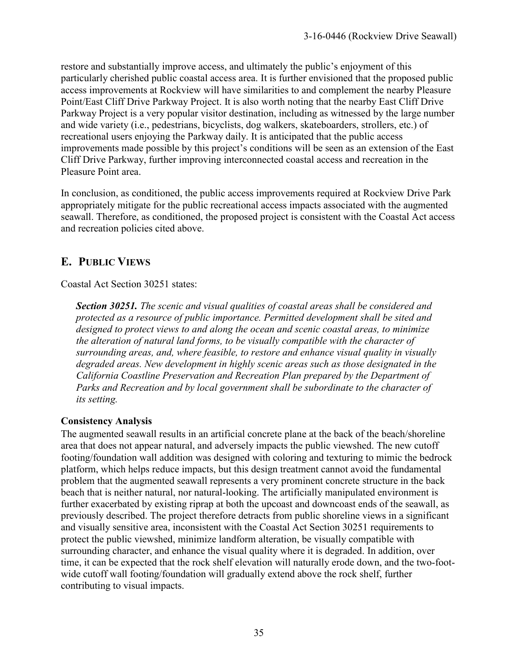restore and substantially improve access, and ultimately the public's enjoyment of this particularly cherished public coastal access area. It is further envisioned that the proposed public access improvements at Rockview will have similarities to and complement the nearby Pleasure Point/East Cliff Drive Parkway Project. It is also worth noting that the nearby East Cliff Drive Parkway Project is a very popular visitor destination, including as witnessed by the large number and wide variety (i.e., pedestrians, bicyclists, dog walkers, skateboarders, strollers, etc.) of recreational users enjoying the Parkway daily. It is anticipated that the public access improvements made possible by this project's conditions will be seen as an extension of the East Cliff Drive Parkway, further improving interconnected coastal access and recreation in the Pleasure Point area.

In conclusion, as conditioned, the public access improvements required at Rockview Drive Park appropriately mitigate for the public recreational access impacts associated with the augmented seawall. Therefore, as conditioned, the proposed project is consistent with the Coastal Act access and recreation policies cited above.

# **E. PUBLIC VIEWS**

Coastal Act Section 30251 states:

*Section 30251. The scenic and visual qualities of coastal areas shall be considered and protected as a resource of public importance. Permitted development shall be sited and designed to protect views to and along the ocean and scenic coastal areas, to minimize the alteration of natural land forms, to be visually compatible with the character of surrounding areas, and, where feasible, to restore and enhance visual quality in visually degraded areas. New development in highly scenic areas such as those designated in the California Coastline Preservation and Recreation Plan prepared by the Department of*  Parks and Recreation and by local government shall be subordinate to the character of *its setting.* 

## **Consistency Analysis**

The augmented seawall results in an artificial concrete plane at the back of the beach/shoreline area that does not appear natural, and adversely impacts the public viewshed. The new cutoff footing/foundation wall addition was designed with coloring and texturing to mimic the bedrock platform, which helps reduce impacts, but this design treatment cannot avoid the fundamental problem that the augmented seawall represents a very prominent concrete structure in the back beach that is neither natural, nor natural-looking. The artificially manipulated environment is further exacerbated by existing riprap at both the upcoast and downcoast ends of the seawall, as previously described. The project therefore detracts from public shoreline views in a significant and visually sensitive area, inconsistent with the Coastal Act Section 30251 requirements to protect the public viewshed, minimize landform alteration, be visually compatible with surrounding character, and enhance the visual quality where it is degraded. In addition, over time, it can be expected that the rock shelf elevation will naturally erode down, and the two-footwide cutoff wall footing/foundation will gradually extend above the rock shelf, further contributing to visual impacts.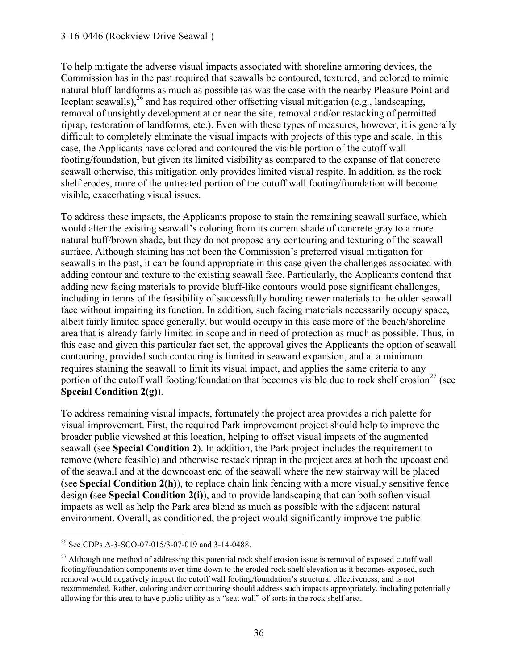To help mitigate the adverse visual impacts associated with shoreline armoring devices, the Commission has in the past required that seawalls be contoured, textured, and colored to mimic natural bluff landforms as much as possible (as was the case with the nearby Pleasure Point and Iceplant seawalls),<sup>26</sup> and has required other offsetting visual mitigation (e.g., landscaping, removal of unsightly development at or near the site, removal and/or restacking of permitted riprap, restoration of landforms, etc.). Even with these types of measures, however, it is generally difficult to completely eliminate the visual impacts with projects of this type and scale. In this case, the Applicants have colored and contoured the visible portion of the cutoff wall footing/foundation, but given its limited visibility as compared to the expanse of flat concrete seawall otherwise, this mitigation only provides limited visual respite. In addition, as the rock shelf erodes, more of the untreated portion of the cutoff wall footing/foundation will become visible, exacerbating visual issues.

To address these impacts, the Applicants propose to stain the remaining seawall surface, which would alter the existing seawall's coloring from its current shade of concrete gray to a more natural buff/brown shade, but they do not propose any contouring and texturing of the seawall surface. Although staining has not been the Commission's preferred visual mitigation for seawalls in the past, it can be found appropriate in this case given the challenges associated with adding contour and texture to the existing seawall face. Particularly, the Applicants contend that adding new facing materials to provide bluff-like contours would pose significant challenges, including in terms of the feasibility of successfully bonding newer materials to the older seawall face without impairing its function. In addition, such facing materials necessarily occupy space, albeit fairly limited space generally, but would occupy in this case more of the beach/shoreline area that is already fairly limited in scope and in need of protection as much as possible. Thus, in this case and given this particular fact set, the approval gives the Applicants the option of seawall contouring, provided such contouring is limited in seaward expansion, and at a minimum requires staining the seawall to limit its visual impact, and applies the same criteria to any portion of the cutoff wall footing/foundation that becomes visible due to rock shelf erosion<sup>27</sup> (see **Special Condition 2(g)**).

To address remaining visual impacts, fortunately the project area provides a rich palette for visual improvement. First, the required Park improvement project should help to improve the broader public viewshed at this location, helping to offset visual impacts of the augmented seawall (see **Special Condition 2**). In addition, the Park project includes the requirement to remove (where feasible) and otherwise restack riprap in the project area at both the upcoast end of the seawall and at the downcoast end of the seawall where the new stairway will be placed (see **Special Condition 2(h)**), to replace chain link fencing with a more visually sensitive fence design **(**see **Special Condition 2(i)**), and to provide landscaping that can both soften visual impacts as well as help the Park area blend as much as possible with the adjacent natural environment. Overall, as conditioned, the project would significantly improve the public

 $\overline{a}$ <sup>26</sup> See CDPs A-3-SCO-07-015/3-07-019 and 3-14-0488.

 $^{27}$  Although one method of addressing this potential rock shelf erosion issue is removal of exposed cutoff wall footing/foundation components over time down to the eroded rock shelf elevation as it becomes exposed, such removal would negatively impact the cutoff wall footing/foundation's structural effectiveness, and is not recommended. Rather, coloring and/or contouring should address such impacts appropriately, including potentially allowing for this area to have public utility as a "seat wall" of sorts in the rock shelf area.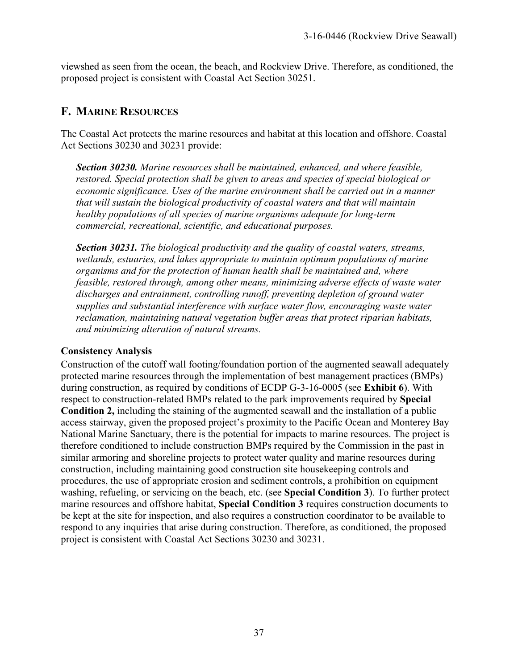viewshed as seen from the ocean, the beach, and Rockview Drive. Therefore, as conditioned, the proposed project is consistent with Coastal Act Section 30251.

# **F. MARINE RESOURCES**

The Coastal Act protects the marine resources and habitat at this location and offshore. Coastal Act Sections 30230 and 30231 provide:

*Section 30230. Marine resources shall be maintained, enhanced, and where feasible, restored. Special protection shall be given to areas and species of special biological or economic significance. Uses of the marine environment shall be carried out in a manner that will sustain the biological productivity of coastal waters and that will maintain healthy populations of all species of marine organisms adequate for long-term commercial, recreational, scientific, and educational purposes.* 

*Section 30231. The biological productivity and the quality of coastal waters, streams, wetlands, estuaries, and lakes appropriate to maintain optimum populations of marine organisms and for the protection of human health shall be maintained and, where feasible, restored through, among other means, minimizing adverse effects of waste water discharges and entrainment, controlling runoff, preventing depletion of ground water supplies and substantial interference with surface water flow, encouraging waste water reclamation, maintaining natural vegetation buffer areas that protect riparian habitats, and minimizing alteration of natural streams.* 

#### **Consistency Analysis**

Construction of the cutoff wall footing/foundation portion of the augmented seawall adequately protected marine resources through the implementation of best management practices (BMPs) during construction, as required by conditions of ECDP G-3-16-0005 (see **Exhibit 6**). With respect to construction-related BMPs related to the park improvements required by **Special Condition 2,** including the staining of the augmented seawall and the installation of a public access stairway, given the proposed project's proximity to the Pacific Ocean and Monterey Bay National Marine Sanctuary, there is the potential for impacts to marine resources. The project is therefore conditioned to include construction BMPs required by the Commission in the past in similar armoring and shoreline projects to protect water quality and marine resources during construction, including maintaining good construction site housekeeping controls and procedures, the use of appropriate erosion and sediment controls, a prohibition on equipment washing, refueling, or servicing on the beach, etc. (see **Special Condition 3**). To further protect marine resources and offshore habitat, **Special Condition 3** requires construction documents to be kept at the site for inspection, and also requires a construction coordinator to be available to respond to any inquiries that arise during construction. Therefore, as conditioned, the proposed project is consistent with Coastal Act Sections 30230 and 30231.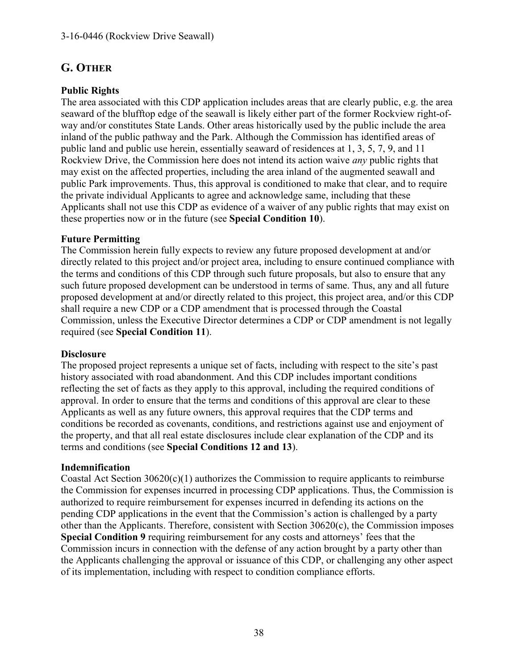# **G. OTHER**

# **Public Rights**

The area associated with this CDP application includes areas that are clearly public, e.g. the area seaward of the blufftop edge of the seawall is likely either part of the former Rockview right-ofway and/or constitutes State Lands. Other areas historically used by the public include the area inland of the public pathway and the Park. Although the Commission has identified areas of public land and public use herein, essentially seaward of residences at 1, 3, 5, 7, 9, and 11 Rockview Drive, the Commission here does not intend its action waive *any* public rights that may exist on the affected properties, including the area inland of the augmented seawall and public Park improvements. Thus, this approval is conditioned to make that clear, and to require the private individual Applicants to agree and acknowledge same, including that these Applicants shall not use this CDP as evidence of a waiver of any public rights that may exist on these properties now or in the future (see **Special Condition 10**).

## **Future Permitting**

The Commission herein fully expects to review any future proposed development at and/or directly related to this project and/or project area, including to ensure continued compliance with the terms and conditions of this CDP through such future proposals, but also to ensure that any such future proposed development can be understood in terms of same. Thus, any and all future proposed development at and/or directly related to this project, this project area, and/or this CDP shall require a new CDP or a CDP amendment that is processed through the Coastal Commission, unless the Executive Director determines a CDP or CDP amendment is not legally required (see **Special Condition 11**).

## **Disclosure**

The proposed project represents a unique set of facts, including with respect to the site's past history associated with road abandonment. And this CDP includes important conditions reflecting the set of facts as they apply to this approval, including the required conditions of approval. In order to ensure that the terms and conditions of this approval are clear to these Applicants as well as any future owners, this approval requires that the CDP terms and conditions be recorded as covenants, conditions, and restrictions against use and enjoyment of the property, and that all real estate disclosures include clear explanation of the CDP and its terms and conditions (see **Special Conditions 12 and 13**).

## **Indemnification**

Coastal Act Section 30620(c)(1) authorizes the Commission to require applicants to reimburse the Commission for expenses incurred in processing CDP applications. Thus, the Commission is authorized to require reimbursement for expenses incurred in defending its actions on the pending CDP applications in the event that the Commission's action is challenged by a party other than the Applicants. Therefore, consistent with Section 30620(c), the Commission imposes **Special Condition 9** requiring reimbursement for any costs and attorneys' fees that the Commission incurs in connection with the defense of any action brought by a party other than the Applicants challenging the approval or issuance of this CDP, or challenging any other aspect of its implementation, including with respect to condition compliance efforts.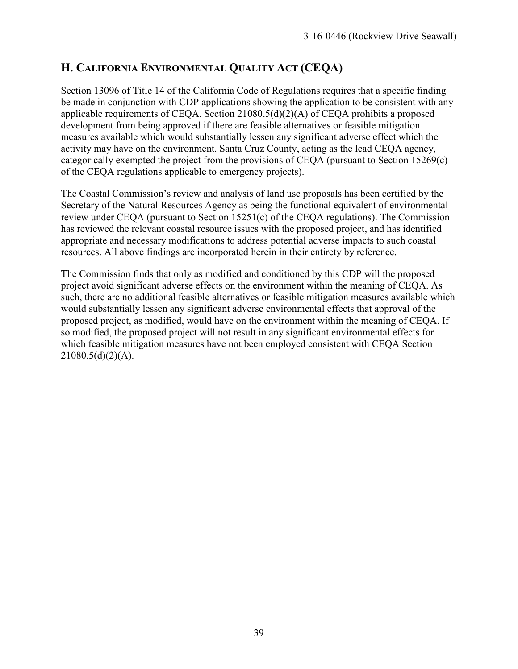# **H. CALIFORNIA ENVIRONMENTAL QUALITY ACT (CEQA)**

Section 13096 of Title 14 of the California Code of Regulations requires that a specific finding be made in conjunction with CDP applications showing the application to be consistent with any applicable requirements of CEQA. Section 21080.5(d)(2)(A) of CEQA prohibits a proposed development from being approved if there are feasible alternatives or feasible mitigation measures available which would substantially lessen any significant adverse effect which the activity may have on the environment. Santa Cruz County, acting as the lead CEQA agency, categorically exempted the project from the provisions of CEQA (pursuant to Section 15269(c) of the CEQA regulations applicable to emergency projects).

The Coastal Commission's review and analysis of land use proposals has been certified by the Secretary of the Natural Resources Agency as being the functional equivalent of environmental review under CEQA (pursuant to Section 15251(c) of the CEQA regulations). The Commission has reviewed the relevant coastal resource issues with the proposed project, and has identified appropriate and necessary modifications to address potential adverse impacts to such coastal resources. All above findings are incorporated herein in their entirety by reference.

The Commission finds that only as modified and conditioned by this CDP will the proposed project avoid significant adverse effects on the environment within the meaning of CEQA. As such, there are no additional feasible alternatives or feasible mitigation measures available which would substantially lessen any significant adverse environmental effects that approval of the proposed project, as modified, would have on the environment within the meaning of CEQA. If so modified, the proposed project will not result in any significant environmental effects for which feasible mitigation measures have not been employed consistent with CEQA Section  $21080.5(d)(2)(A)$ .